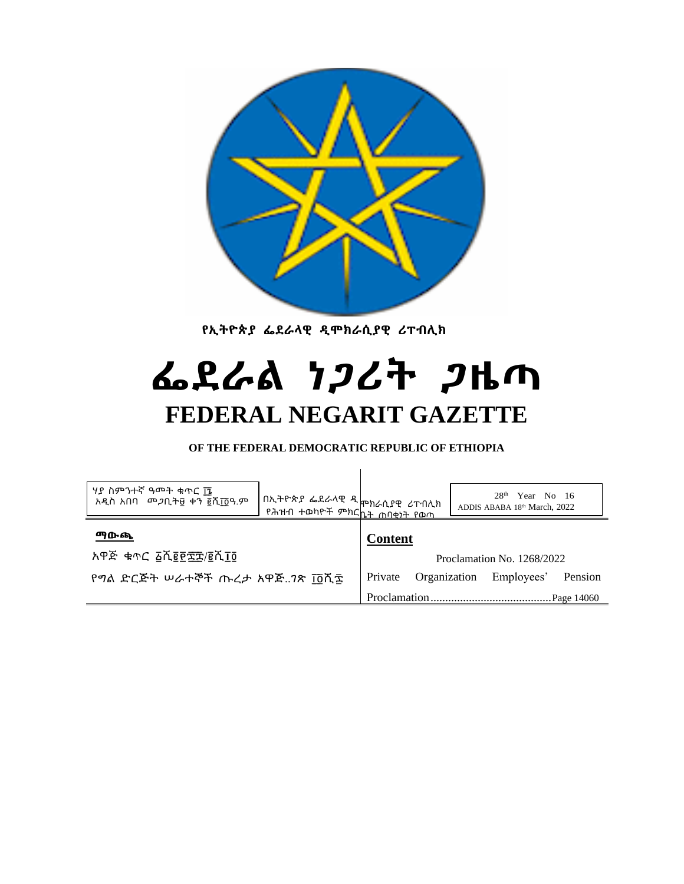

 **የኢትዮጵያ ፌደራላዊ ዲሞክራሲያዊ ሪፐብሊክ**

# **ፌደራል ነጋሪት ጋዜጣ FEDERAL NEGARIT GAZETTE**

**OF THE FEDERAL DEMOCRATIC REPUBLIC OF ETHIOPIA**

| ሃያ ስምንተኛ ዓመት ቁጥር ኬ<br>አዲስ አበባ መ <i>ጋ</i> ቢት፱ ቀን ፪ሺ፲፬ዓ.ም | በኢትዮጵያ ፌደራላዊ ዲ <sub>ሞክራሲያዊ</sub> ሪፐብሊክ<br>  የሕዝብ ተወካ <u>ዮች ምክርኬት ሐባቂነት የወጣ</u> |                |                            |  | 28 <sup>th</sup><br>Year No 16<br>ADDIS ABABA 18th March, 2022 |         |  |
|---------------------------------------------------------|--------------------------------------------------------------------------------|----------------|----------------------------|--|----------------------------------------------------------------|---------|--|
| ማውጫ                                                     |                                                                                | <b>Content</b> |                            |  |                                                                |         |  |
| አዋጅ ቁጥር ፩ሺ፪፻፰፰/፪ሺ፲፬                                     |                                                                                |                | Proclamation No. 1268/2022 |  |                                                                |         |  |
| የግል ድርጅት ሠራተኞች ጡረታ አዋጅ7ጽ ፲፬ሺ፰                           |                                                                                |                | Organization               |  | Employees'                                                     | Pension |  |
|                                                         |                                                                                |                | Page 14060                 |  |                                                                |         |  |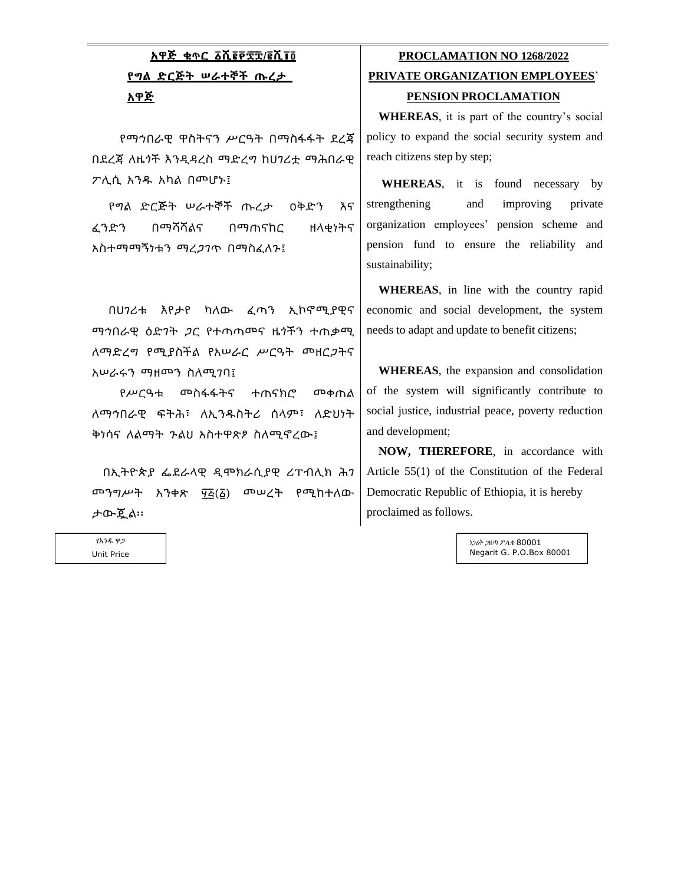## **አዋጅ ቁጥር ፩ሺ፪፻፷ ፰/፪ሺ፲፬ የግል ድርጅት ሠራተኞች ጡረታ አዋጅ**

የማኅበራዊ ዋስትናን ሥርዓት በማስፋፋት ደረጃ በደረጃ ለዜጎች እንዲዳረስ ማድረግ ከሀገሪቷ ማሕበራዊ ፖሊሲ አንዱ አካል በመሆኑ፤

የግል ድርጅት ሠራተኞች ጡረታ ዐቅድን እና ፈንድን በማሻሻልና በማጠናከር ዘላቂነትና አስተማማኝነቱን ማረጋገጥ በማስፈለጉ፤

በሀገሪቱ እየታየ ካለው ፈጣን ኢኮኖሚያዊና ማኅበራዊ ዕድገት ጋር የተጣጣመና ዜጎችን ተጠቃሚ ለማድረግ የሚያስችል የአሠራር ሥርዓት መዘርጋትና አሠራሩን ማዘመን ስለሚገባ፤

የሥርዓቱ መስፋፋትና ተጠናክሮ መቀጠል ለማኅበራዊ ፍትሕ፣ ለኢንዱስትሪ ሰላም፣ ለድህነት ቅነሳና ለልማት ጉልህ አስተዋጽፆ ስለሚኖረው፤

በኢትዮጵያ ፌደራላዊ ዲሞክራሲያዊ ሪፐብሊክ ሕገ መንግሥት አንቀጽ ፶፭(፩) መሠረት የሚከተለው ታውጇል፡፡

### **PROCLAMATION NO 1268/2022 PRIVATE ORGANIZATION EMPLOYEES**'

#### **PENSION PROCLAMATION**

**WHEREAS**, it is part of the country's social policy to expand the social security system and reach citizens step by step;

**WHEREAS**, it is found necessary by strengthening and improving private organization employees' pension scheme and pension fund to ensure the reliability and sustainability;

**WHEREAS**, in line with the country rapid economic and social development, the system needs to adapt and update to benefit citizens;

**WHEREAS**, the expansion and consolidation of the system will significantly contribute to social justice, industrial peace, poverty reduction and development;

**NOW, THEREFORE**, in accordance with Article 55(1) of the Constitution of the Federal Democratic Republic of Ethiopia, it is hereby proclaimed as follows.

> ነጋሪት ጋዜጣ ፖ.ሳ.ቁ 80001 Negarit G. P.O.Box 80001

የአንዱ ዋጋ Unit Price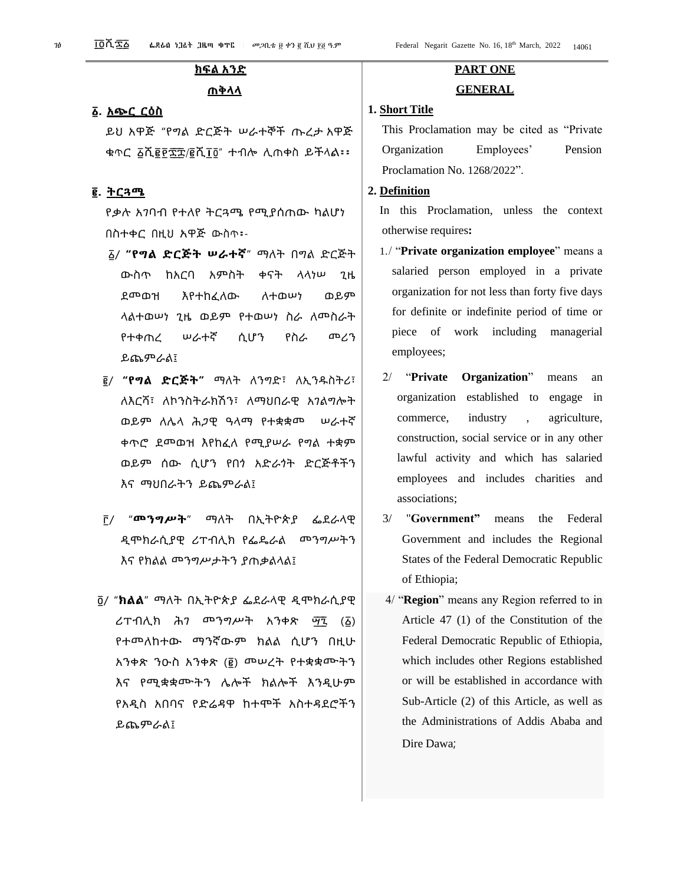### **ክፍል አንድ**

#### **ጠቅላላ**

#### **፩. አጭር ርዕስ**

ይህ አዋጅ "የግል ድርጅት ሠራተኞች ጡረታ አዋጅ ቁጥር ፩ሺ፪፻፷ ፰/፪ሺ፲፬" ተብሎ ሊጠቀስ ይችላል፡፡

#### **፪. ትርጓሜ**

የቃሉ አገባብ የተለየ ትርጓሜ የሚያሰጠው ካልሆነ በስተቀር በዚህ አዋጅ ውስጥ፡-

- ፩/ **"የግል ድርጅት ሠራተኛ**" ማለት በግል ድርጅት ውስጥ ከአርባ አምስት ቀናት ላላነሠ ጊዜ ደመወዝ እየተከፈለው ለተወሠነ ወይም ላልተወሠነ ጊዜ ወይም የተወሠነ ስራ ለመስራት የተቀጠረ ሠራተኛ ሲሆን የስራ መሪን ይጨምራል፤
- ፪/ **"የግል ድርጅት"** ማለት ለንግድ፣ ለኢንዱስትሪ፣ ለእርሻ፣ ለኮንስትራክሽን፣ ለማህበራዊ አገልግሎት ወይም ለሌላ ሕጋዊ ዓላማ የተቋቋመ ሠራተኛ ቀጥሮ ደመወዝ እየከፈለ የሚያሠራ የግል ተቋም ወይም ሰው ሲሆን የበጎ አድራጎት ድርጅቶችን እና ማህበራትን ይጨምራል፤
- ፫/ "**መንግሥት**" ማለት በኢትዮጵያ ፌደራላዊ ዲሞክራሲያዊ ሪፐብሊክ የፌዴራል መንግሥትን እና የክልል መንግሥታትን ያጠቃልላል፤
- ፬/ "**ክልል**" ማለት በኢትዮጵያ ፌደራላዊ ዲሞክራሲያዊ ሪፐብሊክ ሕገ መንግሥት አንቀጽ ማ፯ (፩) የተመለከተው ማንኛውም ክልል ሲሆን በዚሁ አንቀጽ ንዑስ አንቀጽ (፪) መሠረት የተቋቋሙትን እና የሚቋቋሙትን ሌሎች ክልሎች እንዲሁም የአዲስ አበባና የድሬዳዋ ከተሞች አስተዳደሮችን ይጨምራል፤

# **PART ONE**

### **GENERAL**

### **1. Short Title**

This Proclamation may be cited as "Private Organization Employees' Pension Proclamation No. 1268/2022".

#### **2. Definition**

In this Proclamation, unless the context otherwise requires**:**

- 1./ "**Private organization employee**" means a salaried person employed in a private organization for not less than forty five days for definite or indefinite period of time or piece of work including managerial employees;
- 2/ "**Private Organization**" means an organization established to engage in commerce, industry , agriculture, construction, social service or in any other lawful activity and which has salaried employees and includes charities and associations;
- 3/ "**Government"** means the Federal Government and includes the Regional States of the Federal Democratic Republic of Ethiopia;
- 4/ "**Region**" means any Region referred to in Article 47 (1) of the Constitution of the Federal Democratic Republic of Ethiopia, which includes other Regions established or will be established in accordance with Sub-Article (2) of this Article, as well as the Administrations of Addis Ababa and Dire Dawa;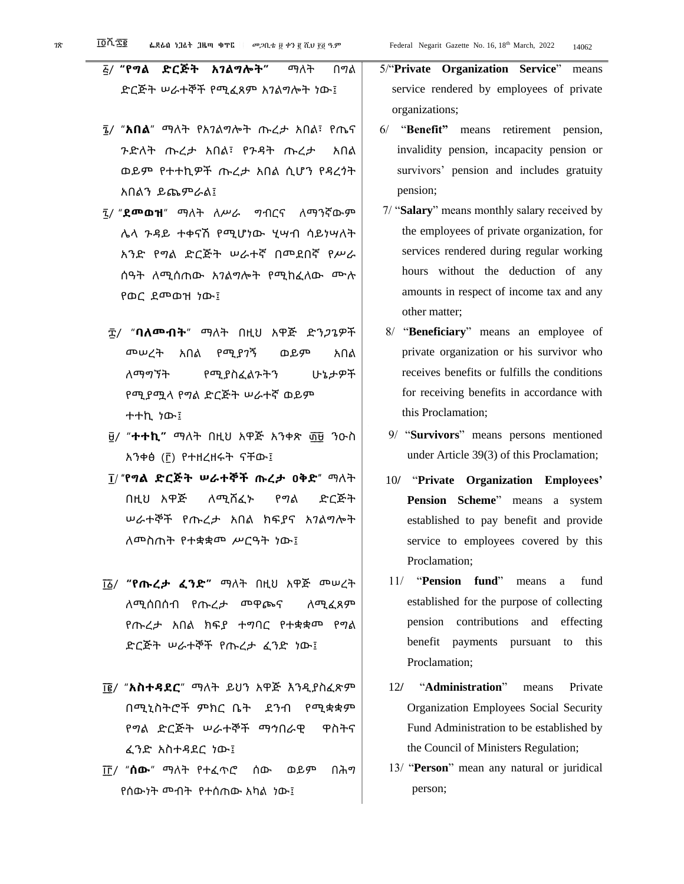- ፭/ **"የግል ድርጅት አገልግሎት"** ማለት በግል ድርጅት ሠራተኞች የሚፈጸም አገልግሎት ነው፤
- ፮/ "**አበል**" ማለት የአገልግሎት ጡረታ አበል፣ የጤና ጉድለት ጡረታ አበል፣ የጉዳት ጡረታ አበል ወይም የተተኪዎች ጡረታ አበል ሲሆን የዳረጎት አበልን ይጨምራል፤
- ፯/ "**ደመወዝ**" ማለት ለሥራ ግብርና ለማንኛውም ሌላ ጉዳይ ተቀናሽ የሚሆነው ሂሣብ ሳይነሣለት አንድ የግል ድርጅት ሠራተኛ በመደበኛ የሥራ ሰዓት ለሚሰጠው አገልግሎት የሚከፈለው ሙሉ የወር ደመወዝ ነው፤
- ፰/ "**ባለመብት**" ማለት በዚህ አዋጅ ድንጋጌዎች መሠረት አበል የሚያገኝ ወይም አበል ለማግኘት የሚያስፈልጉትን ሁኔታዎች የሚያሟላ የግል ድርጅት ሠራተኛ ወይም ተተኪ ነው፤
- ፱/ "**ተተኪ"** ማለት በዚህ አዋጅ አንቀጽ ፴ ፱ ንዑስ አንቀፅ (፫) የተዘረዘሩት ናቸው፤
- ፲/ **"የግል ድርጅት ሠራተኞች ጡረታ ዐቅድ"** ማለት በዚህ አዋጅ ለሚሸፈኑ የግል ድርጅት ሠራተኞች የጡረታ አበል ክፍያና አገልግሎት ለመስጠት የተቋቋመ ሥርዓት ነው፤
- ፲ ፩/ **"የጡረታ ፈንድ"** ማለት በዚህ አዋጅ መሠረት ለሚሰበሰብ የጡረታ መዋጮና ለሚፈጸም የጡረታ አበል ክፍያ ተግባር የተቋቋመ የግል ድርጅት ሠራተኞች የጡረታ ፈንድ ነው፤
- ፲ ፪/ "**አስተዳደር**" ማለት ይህን አዋጅ እንዲያስፈጽም በሚኒስትሮች ምክር ቤት ደንብ የሚቋቋም የግል ድርጅት ሠራተኞች ማኅበራዊ ዋስትና ፈንድ አስተዳደር ነው፤
- ፲ ፫/ "**ሰው**" ማለት የተፈጥሮ ሰው ወይም በሕግ የሰውነት መብት የተሰጠው አካል ነው፤

5/"**Private Organization Service**" means service rendered by employees of private organizations;

- 6/ "**Benefit"** means retirement pension, invalidity pension, incapacity pension or survivors' pension and includes gratuity pension;
- 7/ "**Salary**" means monthly salary received by the employees of private organization, for services rendered during regular working hours without the deduction of any amounts in respect of income tax and any other matter;
- 8/ "**Beneficiary**" means an employee of private organization or his survivor who receives benefits or fulfills the conditions for receiving benefits in accordance with this Proclamation;
- 9/ "**Survivors**" means persons mentioned under Article 39(3) of this Proclamation;
- 10**/** "**Private Organization Employees' Pension Scheme**" means a system established to pay benefit and provide service to employees covered by this Proclamation;
- 11/ "**Pension fund**" means a fund established for the purpose of collecting pension contributions and effecting benefit payments pursuant to this Proclamation;
- 12**/** "**Administration**" means Private Organization Employees Social Security Fund Administration to be established by the Council of Ministers Regulation;
- 13/ "**Person**" mean any natural or juridical person;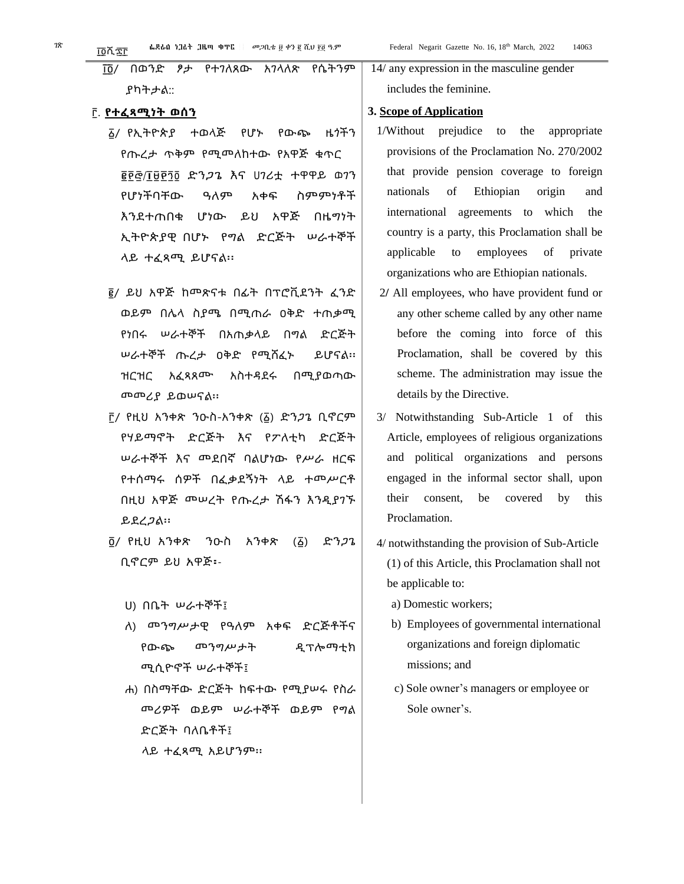#### ፫. **የተፈጻሚነት ወሰን**

- ፩/ የኢትዮጵያ ተወላጅ የሆኑ የውጭ ዜጎችን የጡረታ ጥቅም የሚመለከተው የአዋጅ ቁጥር ፪፻፸/፲፱፻፺፬ ድንጋጌ እና ሀገሪቷ ተዋዋይ ወገን የሆነችባቸው ዓለም አቀፍ ስምምነቶች እንደተጠበቁ ሆነው ይህ አዋጅ በዜግነት ኢትዮጵያዊ በሆኑ የግል ድርጅት ሠራተኞች ላይ ተፈጻሚ ይሆናል፡፡
- ፪/ ይህ አዋጅ ከመጽናቱ በፊት በፕሮቪደንት ፈንድ ወይም በሌላ ስያሜ በሚጠራ ዐቅድ ተጠቃሚ የነበሩ ሠራተኞች በአጠቃላይ በግል ድርጅት ሠራተኞች ጡረታ ዐቅድ የሚሸፈኑ ይሆናል፡፡ ዝርዝር አፈጻጸሙ አስተዳደሩ በሚያወጣው መመሪያ ይወሠናል፡፡
- ፫/ የዚህ አንቀጽ ንዑስ-አንቀጽ (፩) ድንጋጌ ቢኖርም የሃይማኖት ድርጅት እና የፖለቲካ ድርጅት ሠራተኞች እና መደበኛ ባልሆነው የሥራ ዘርፍ የተሰማሩ ሰዎች በፈቃደኝነት ላይ ተመሥርቶ በዚህ አዋጅ መሠረት የጡረታ ሽፋን እንዲያገኙ ይደረጋል፡፡
- ፬/ የዚህ አንቀጽ ንዑስ አንቀጽ (፩) ድንጋጌ ቢኖርም ይህ አዋጅ፡-
	- ሀ) በቤት ሠራተኞች፤
	- ለ) መንግሥታዊ የዓለም አቀፍ ድርጅቶችና የውጭ መንግሥታት ዲፕሎማቲክ ሚሲዮኖች ሠራተኞች፤
	- ሐ) በስማቸው ድርጅት ከፍተው የሚያሠሩ የስራ መሪዎች ወይም ሠራተኞች ወይም የግል ድርጅት ባለቤቶች፤ ላይ ተፈጻሚ አይሆንም፡፡

14/ any expression in the masculine gender includes the feminine.

#### **3. Scope of Application**

- 1/Without prejudice to the appropriate provisions of the Proclamation No. 270/2002 that provide pension coverage to foreign nationals of Ethiopian origin and international agreements to which the country is a party, this Proclamation shall be applicable to employees of private organizations who are Ethiopian nationals.
- 2**/** All employees, who have provident fund or any other scheme called by any other name before the coming into force of this Proclamation, shall be covered by this scheme. The administration may issue the details by the Directive.
- 3/ Notwithstanding Sub-Article 1 of this Article, employees of religious organizations and political organizations and persons engaged in the informal sector shall, upon their consent, be covered by this Proclamation.
- 4/ notwithstanding the provision of Sub-Article (1) of this Article, this Proclamation shall not be applicable to:
	- a) Domestic workers;
	- b) Employees of governmental international organizations and foreign diplomatic missions; and
	- c) Sole owner's managers or employee or Sole owner's.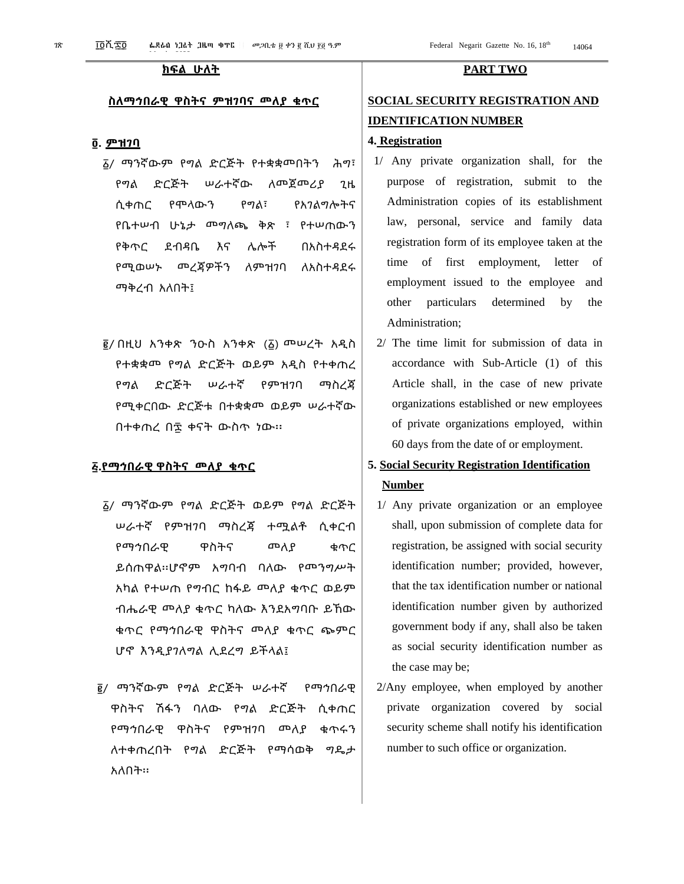#### **ስለማኅበራዊ ዋስትና ምዝገባና መለያ ቁጥር**

#### **፬. ምዝገባ**

- ፩/ ማንኛውም የግል ድርጅት የተቋቋመበትን ሕግ፣ የግል ድርጅት ሠራተኛው ለመጀመሪያ ጊዜ ሲቀጠር የሞላውን የግል፣ የአገልግሎትና የቤተሠብ ሁኔታ መግለጫ ቅጽ ፣ የተሠጠውን የቅጥር ደብዳቤ እና ሌሎች በአስተዳደሩ የሚወሠኑ መረጃዎችን ለምዝገባ ለአስተዳደሩ ማቅረብ አለበት፤
- ፪/ በዚህ አንቀጽ ንዑስ አንቀጽ (፩) መሠረት አዲስ የተቋቋመ የግል ድርጅት ወይም አዲስ የተቀጠረ የግል ድርጅት ሠራተኛ የምዝገባ ማስረጃ የሚቀርበው ድርጅቱ በተቋቋመ ወይም ሠራተኛው በተቀጠረ በ፷ ቀናት ውስጥ ነው፡፡

#### **፭.የማኅበራዊ ዋስትና መለያ ቁጥር**

- ፩/ ማንኛውም የግል ድርጅት ወይም የግል ድርጅት ሠራተኛ የምዝገባ ማስረጃ ተሟልቶ ሲቀርብ የማኅበራዊ ዋስትና መለያ ቁጥር ይሰጠዋል፡፡ሆኖም አግባብ ባለው የመንግሥት አካል የተሠጠ የግብር ከፋይ መለያ ቁጥር ወይም ብሔራዊ መለያ ቁጥር ካለው እንደአግባቡ ይኸው ቁጥር የማኅበራዊ ዋስትና መለያ ቁጥር ጭምር ሆኖ እንዲያገለግል ሊደረግ ይችላል፤
- ፪/ ማንኛውም የግል ድርጅት ሠራተኛ የማኅበራዊ ዋስትና ሽፋን ባለው የግል ድርጅት ሲቀጠር የማኅበራዊ ዋስትና የምዝገባ መለያ ቁጥሩን ለተቀጠረበት የግል ድርጅት የማሳወቅ ግዴታ አለበት፡፡

#### **ክፍል ሁለት PART TWO**

### **SOCIAL SECURITY REGISTRATION AND IDENTIFICATION NUMBER**

#### **4. Registration**

- 1/ Any private organization shall, for the purpose of registration, submit to the Administration copies of its establishment law, personal, service and family data registration form of its employee taken at the time of first employment, letter of employment issued to the employee and other particulars determined by the Administration;
- 2/ The time limit for submission of data in accordance with Sub-Article (1) of this Article shall, in the case of new private organizations established or new employees of private organizations employed, within 60 days from the date of or employment.

### **5. Social Security Registration Identification Number**

- 1/ Any private organization or an employee shall, upon submission of complete data for registration, be assigned with social security identification number; provided, however, that the tax identification number or national identification number given by authorized government body if any, shall also be taken as social security identification number as the case may be;
- 2/Any employee, when employed by another private organization covered by social security scheme shall notify his identification number to such office or organization.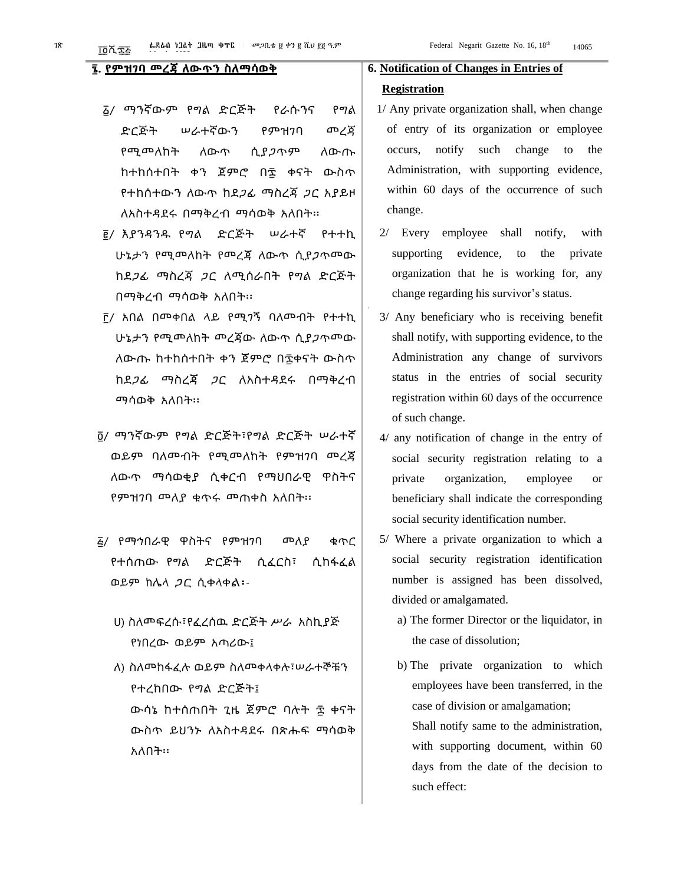#### **፮. የምዝገባ መረጃ ለውጥን ስለማሳወቅ**

- ፩/ ማንኛውም የግል ድርጅት የራሱንና የግል ድርጅት ሠራተኛውን የምዝገባ መረጃ የሚመለከት ለውጥ ሲያጋጥም ለውጡ ከተከሰተበት ቀን ጀምሮ በ፷ ቀናት ውስጥ የተከሰተውን ለውጥ ከደጋፊ ማስረጃ ጋር አያይዞ ለአስተዳደሩ በማቅረብ ማሳወቅ አለበት፡፡
- ፪/ እያንዳንዱ የግል ድርጅት ሠራተኛ የተተኪ ሁኔታን የሚመለከት የመረጃ ለውጥ ሲያጋጥመው ከደጋፊ ማስረጃ ጋር ለሚሰራበት የግል ድርጅት በማቅረብ ማሳወቅ አለበት፡፡
- ፫/ አበል በመቀበል ላይ የሚገኝ ባለመብት የተተኪ ሁኔታን የሚመለከት መረጃው ለውጥ ሲያጋጥመው ለውጡ ከተከሰተበት ቀን ጀምሮ በ፷ቀናት ውስጥ ከደጋፊ ማስረጃ ጋር ለአስተዳደሩ በማቅረብ ማሳወቅ አለበት፡፡
- ፬/ ማንኛውም የግል ድርጅት፣የግል ድርጅት ሠራተኛ ወይም ባለመብት የሚመለከት የምዝገባ መረጃ ለውጥ ማሳወቂያ ሲቀርብ የማህበራዊ ዋስትና የምዝገባ መለያ ቁጥሩ መጠቀስ አለበት፡፡
- ፭/ የማኅበራዊ ዋስትና የምዝገባ መለያ ቁጥር የተሰጠው የግል ድርጅት ሲፈርስ፣ ሲከፋፈል ወይም ከሌላ ጋር ሲቀላቀል፡-
	- ሀ) ስለመፍረሱ፣የፈረሰዉ ድርጅት ሥራ አስኪያጅ የነበረው ወይም አጣሪው፤
	- ለ) ስለመከፋፈሉ ወይም ስለመቀላቀሉ፣ሠራተኞቹን የተረከበው የግል ድርጅት፤ ውሳኔ ከተሰጠበት ጊዜ ጀምሮ ባሉት ፷ ቀናት ውስጥ ይህንኑ ለአስተዳደሩ በጽሑፍ ማሳወቅ አለበት፡፡

#### **6. Notification of Changes in Entries of**

#### **Registration**

- 1/ Any private organization shall, when change of entry of its organization or employee occurs, notify such change to the Administration, with supporting evidence, within 60 days of the occurrence of such change.
- 2/ Every employee shall notify, with supporting evidence, to the private organization that he is working for, any change regarding his survivor's status.
- 3/ Any beneficiary who is receiving benefit shall notify, with supporting evidence, to the Administration any change of survivors status in the entries of social security registration within 60 days of the occurrence of such change.
- 4/ any notification of change in the entry of social security registration relating to a private organization, employee or beneficiary shall indicate the corresponding social security identification number.
- 5/ Where a private organization to which a social security registration identification number is assigned has been dissolved, divided or amalgamated.
	- a) The former Director or the liquidator, in the case of dissolution;
	- b) The private organization to which employees have been transferred, in the case of division or amalgamation; Shall notify same to the administration, with supporting document, within 60 days from the date of the decision to such effect: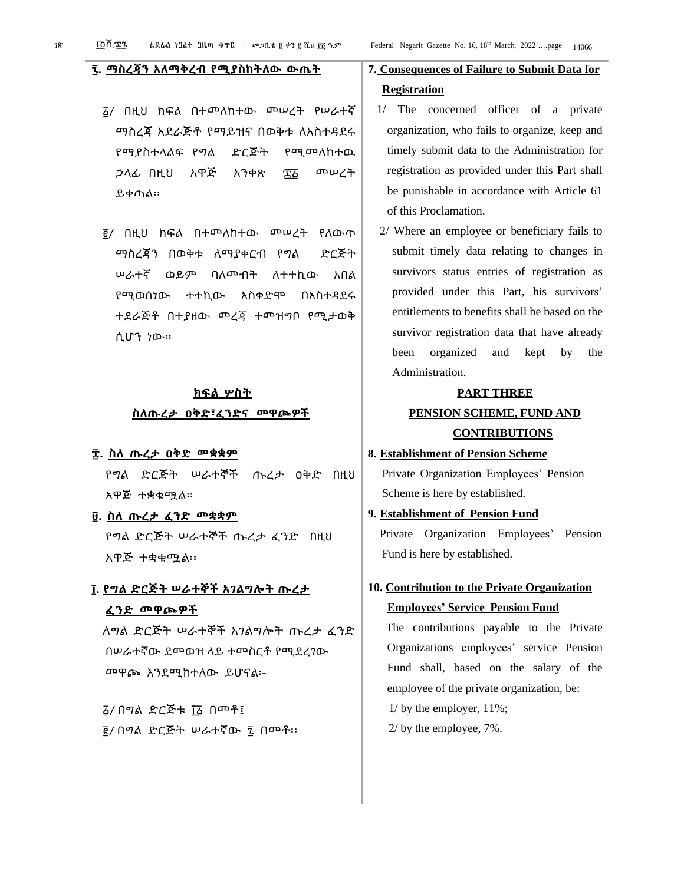#### **፯. ማስረጃን አለማቅረብ የሚያስከትለው ውጤት**

- ፩/ በዚህ ክፍል በተመለከተው መሠረት የሠራተኛ ማስረጃ አደራጅቶ የማይዝና በወቅቱ ለአስተዳደሩ የማያስተላልፍ የግል ድርጅት የሚመለከተዉ ኃላፊ በዚህ አዋጅ አንቀጽ ፷ ፩ መሠረት ይቀጣል፡፡
- ፪/ በዚህ ክፍል በተመለከተው መሠረት የለውጥ ማስረጃን በወቅቱ ለማያቀርብ የግል ድርጅት ሠራተኛ ወይም ባለመብት ለተተኪው አበል የሚወሰነው ተተኪው አስቀድሞ በአስተዳደሩ ተደራጅቶ በተያዘው መረጃ ተመዝግቦ የሚታወቅ ሲሆን ነው፡፡

#### **ክፍል ሦስት**

#### **ስለጡረታ ዐቅድ፣ፈንድና መዋጮዎች**

#### **፰. ስለ ጡረታ ዐቅድ መቋቋም**

የግል ድርጅት ሠራተኞች ጡረታ ዐቅድ በዚህ አዋጅ ተቋቁሟል፡፡

**፱. ስለ ጡረታ ፈንድ መቋቋም** የግል ድርጅት ሠራተኞች ጡረታ ፈንድ በዚህ አዋጅ ተቋቁሟል፡፡

### **፲. የግል ድርጅት ሠራተኞች አገልግሎት ጡረታ ፈንድ መዋጮዎች**

ለግል ድርጅት ሠራተኞች አገልግሎት ጡረታ ፈንድ በሠራተኛው ደመወዝ ላይ ተመስርቶ የሚደረገው መዋጮ እንደሚከተለው ይሆናል፡-

፩/ በግል ድርጅቱ ፲፩ በመቶ፤ ፪/ በግል ድርጅት ሠራተኛው ፯ በመቶ፡፡

### **7. Consequences of Failure to Submit Data for Registration**

- 1/ The concerned officer of a private organization, who fails to organize, keep and timely submit data to the Administration for registration as provided under this Part shall be punishable in accordance with Article 61 of this Proclamation.
- 2/ Where an employee or beneficiary fails to submit timely data relating to changes in survivors status entries of registration as provided under this Part, his survivors' entitlements to benefits shall be based on the survivor registration data that have already been organized and kept by the Administration.

#### **PART THREE**

### **PENSION SCHEME, FUND AND CONTRIBUTIONS**

#### **8. Establishment of Pension Scheme**

Private Organization Employees' Pension Scheme is here by established.

#### **9. Establishment of Pension Fund**

Private Organization Employees' Pension Fund is here by established.

### **10. Contribution to the Private Organization Employees' Service Pension Fund**

The contributions payable to the Private Organizations employees' service Pension Fund shall, based on the salary of the employee of the private organization, be:

1/ by the employer, 11%;

2/ by the employee, 7%.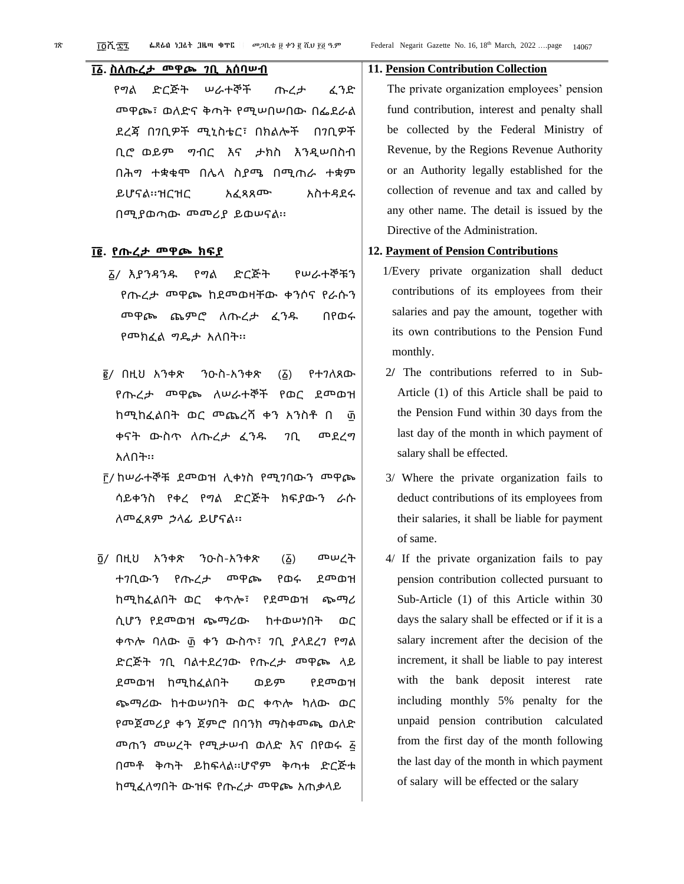#### **፲ ፩. ስለጡረታ መዋጮ ገቢ አሰባሠብ**

የግል ድርጅት ሠራተኞች ጡረታ ፈንድ መዋጮ፣ ወለድና ቅጣት የሚሠበሠበው በፌደራል ደረጃ በገቢዎች ሚኒስቴር፣ በክልሎች በገቢዎች ቢሮ ወይም ግብር እና ታክስ እንዲሠበስብ በሕግ ተቋቁሞ በሌላ ስያሜ በሚጠራ ተቋም ይሆናል፡፡ዝርዝር አፈጻጸሙ አስተዳደሩ በሚያወጣው መመሪያ ይወሠናል፡፡

#### **፲ ፪. የጡረታ መዋጮ ክፍያ**

- ፩/ እያንዳንዱ የግል ድርጅት የሠራተኞቹን የጡረታ መዋጮ ከደመወዛቸው ቀንሶና የራሱን መዋጮ ጨምሮ ለጡረታ ፈንዱ በየወሩ የመክፈል ግዴታ አለበት፡፡
- ፪/ በዚህ አንቀጽ ንዑስ-አንቀጽ (፩) የተገለጸው የጡረታ መዋጮ ለሠራተኞች የወር ደመወዝ ከሚከፈልበት ወር መጨረሻ ቀን አንስቶ በ ፴ ቀናት ውስጥ ለጡረታ ፈንዱ ገቢ መደረግ አለበት፡፡
- ፫/ ከሠራተኞቹ ደመወዝ ሊቀነስ የሚገባውን መዋጮ ሳይቀንስ የቀረ የግል ድርጅት ክፍያውን ራሱ ለመፈጸም ኃላፊ ይሆናል፡፡
- ፬/ በዚህ አንቀጽ ንዑስ-አንቀጽ (፩) መሠረት ተገቢውን የጡረታ መዋጮ የወሩ ደመወዝ ከሚከፈልበት ወር ቀጥሎ፣ የደመወዝ ጭማሪ ሲሆን የደመወዝ ጭማሪው ከተወሠነበት ወር ቀጥሎ ባለው ፴ ቀን ውስጥ፣ ገቢ ያላደረገ የግል ድርጅት ገቢ ባልተደረገው የጡረታ መዋጮ ላይ ደመወዝ ከሚከፈልበት ወይም የደመወዝ ጭማሪው ከተወሠነበት ወር ቀጥሎ ካለው ወር የመጀመሪያ ቀን ጀምሮ በባንክ ማስቀመጫ ወለድ መጠን መሠረት የሚታሠብ ወለድ እና በየወሩ ፭ በመቶ ቅጣት ይከፍላል፡፡ሆኖም ቅጣቱ ድርጅቱ ከሚፈለግበት ውዝፍ የጡረታ መዋጮ አጠቃላይ

#### **11. Pension Contribution Collection**

The private organization employees' pension fund contribution, interest and penalty shall be collected by the Federal Ministry of Revenue, by the Regions Revenue Authority or an Authority legally established for the collection of revenue and tax and called by any other name. The detail is issued by the Directive of the Administration.

#### **12. Payment of Pension Contributions**

- 1/Every private organization shall deduct contributions of its employees from their salaries and pay the amount, together with its own contributions to the Pension Fund monthly.
- 2**/** The contributions referred to in Sub-Article (1) of this Article shall be paid to the Pension Fund within 30 days from the last day of the month in which payment of salary shall be effected.
- 3/ Where the private organization fails to deduct contributions of its employees from their salaries, it shall be liable for payment of same.
- 4/ If the private organization fails to pay pension contribution collected pursuant to Sub-Article (1) of this Article within 30 days the salary shall be effected or if it is a salary increment after the decision of the increment, it shall be liable to pay interest with the bank deposit interest rate including monthly 5% penalty for the unpaid pension contribution calculated from the first day of the month following the last day of the month in which payment of salary will be effected or the salary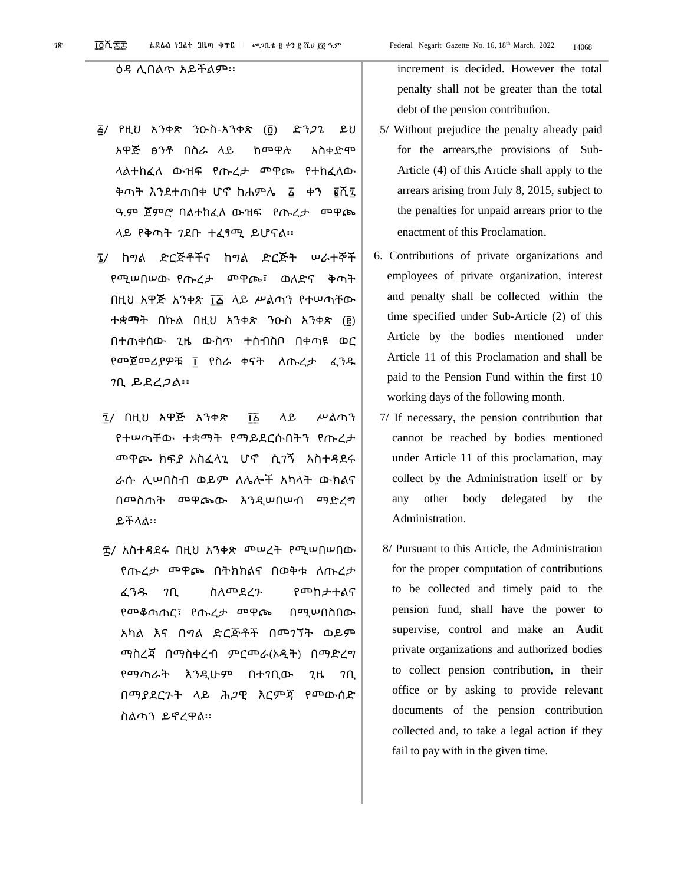#### ዕዳ ሊበልጥ አይችልም፡፡

- ፭/ የዚህ አንቀጽ ንዑስ-አንቀጽ (፬) ድንጋጌ ይህ አዋጅ ፀንቶ በስራ ላይ ከመዋሉ አስቀድሞ ላልተከፈለ ውዝፍ የጡረታ መዋጮ የተከፈለው ቅጣት እንደተጠበቀ ሆኖ ከሐምሌ ፩ ቀን ፪ሺ፯ ዓ.ም ጀምሮ ባልተከፈለ ውዝፍ የጡረታ መዋጮ ላይ የቅጣት ገደቡ ተፈፃሚ ይሆናል፡፡
- ፮/ ከግል ድርጅቶችና ከግል ድርጅት ሠራተኞች የሚሠበሠው የጡረታ መዋጮ፣ ወለድና ቅጣት በዚህ አዋጅ አንቀጽ ፲፩ ላይ ሥልጣን የተሠጣቸው ተቋማት በኩል በዚህ አንቀጽ ንዑስ አንቀጽ (፪) በተጠቀሰው ጊዜ ውስጥ ተሰብስቦ በቀጣዩ ወር የመጀመሪያዎቹ ፲ የስራ ቀናት ለጡረታ ፈንዱ ገቢ ይደረጋል፡፡
- ፯/ በዚህ አዋጅ አንቀጽ ፲፩ ላይ ሥልጣን የተሠጣቸው ተቋማት የማይደርሱበትን የጡረታ መዋጮ ክፍያ አስፈላጊ ሆኖ ሲገኝ አስተዳደሩ ራሱ ሊሠበስብ ወይም ለሌሎች አካላት ውክልና በመስጠት መዋጮው እንዲሠበሠብ ማድረግ ይችላል፡፡
- ፰/ አስተዳደሩ በዚህ አንቀጽ መሠረት የሚሠበሠበው የጡረታ መዋጮ በትክክልና በወቅቱ ለጡረታ ፈንዱ ገቢ ስለመደረጉ የመከታተልና የመቆጣጠር፣ የጡረታ መዋጮ በሚሠበስበው አካል እና በግል ድርጅቶች በመገኘት ወይም ማስረጃ በማስቀረብ ምርመራ(ኦዲት) በማድረግ የማጣራት እንዲሁም በተገቢው ጊዜ ገቢ በማያደርጉት ላይ ሕጋዊ እርምጃ የመውሰድ ስልጣን ይኖረዋል፡፡

increment is decided. However the total penalty shall not be greater than the total debt of the pension contribution.

- 5/ Without prejudice the penalty already paid for the arrears,the provisions of Sub-Article (4) of this Article shall apply to the arrears arising from July 8, 2015, subject to the penalties for unpaid arrears prior to the enactment of this Proclamation.
- 6. Contributions of private organizations and employees of private organization, interest and penalty shall be collected within the time specified under Sub-Article (2) of this Article by the bodies mentioned under Article 11 of this Proclamation and shall be paid to the Pension Fund within the first 10 working days of the following month.
- 7/ If necessary, the pension contribution that cannot be reached by bodies mentioned under Article 11 of this proclamation, may collect by the Administration itself or by any other body delegated by the Administration.
- 8/ Pursuant to this Article, the Administration for the proper computation of contributions to be collected and timely paid to the pension fund, shall have the power to supervise, control and make an Audit private organizations and authorized bodies to collect pension contribution, in their office or by asking to provide relevant documents of the pension contribution collected and, to take a legal action if they fail to pay with in the given time.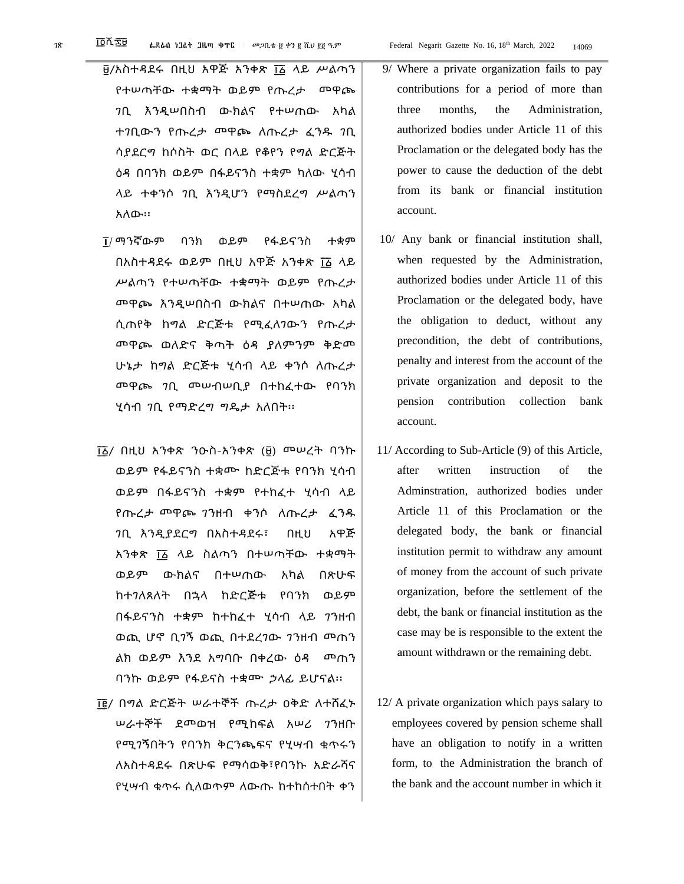- ፱/አስተዳደሩ በዚህ አዋጅ አንቀጽ ፲ ፩ ላይ ሥልጣን የተሠጣቸው ተቋማት ወይም የጡረታ መዋጮ ገቢ እንዲሠበስብ ውክልና የተሠጠው አካል ተገቢውን የጡረታ መዋጮ ለጡረታ ፈንዱ ገቢ
	- ሳያደርግ ከሶስት ወር በላይ የቆየን የግል ድርጅት ዕዳ በባንክ ወይም በፋይናንስ ተቋም ካለው ሂሳብ ላይ ተቀንሶ ገቢ እንዲሆን የማስደረግ ሥልጣን አለው፡፡
- ፲/ ማንኛውም ባንክ ወይም የፋይናንስ ተቋም በአስተዳደሩ ወይም በዚህ አዋጅ አንቀጽ ፲፩ ላይ ሥልጣን የተሠጣቸው ተቋማት ወይም የጡረታ መዋጮ እንዲሠበስብ ውክልና በተሠጠው አካል ሲጠየቅ ከግል ድርጅቱ የሚፈለገውን የጡረታ መዋጮ ወለድና ቅጣት ዕዳ ያለምንም ቅድመ ሁኔታ ከግል ድርጅቱ ሂሳብ ላይ ቀንሶ ለጡረታ መዋጮ ገቢ መሠብሠቢያ በተከፈተው የባንክ ሂሳብ ገቢ የማድረግ ግዴታ አለበት፡፡
- ፲ ፩/ በዚህ አንቀጽ ንዑስ-አንቀጽ (፱) መሠረት ባንኩ ወይም የፋይናንስ ተቋሙ ከድርጅቱ የባንክ ሂሳብ ወይም በፋይናንስ ተቋም የተከፈተ ሂሳብ ላይ የጡረታ መዋጮ ገንዘብ ቀንሶ ለጡረታ ፈንዱ ገቢ እንዲያደርግ በአስተዳደሩ፣ በዚህ አዋጅ አንቀጽ ፲፩ ላይ ስልጣን በተሠጣቸው ተቋማት ወይም ውክልና በተሠጠው አካል በጽሁፍ ከተገለጸለት በኋላ ከድርጅቱ የባንክ ወይም በፋይናንስ ተቋም ከተከፈተ ሂሳብ ላይ ገንዘብ ወጪ ሆኖ ቢገኝ ወጪ በተደረገው ገንዘብ መጠን ልክ ወይም እንደ አግባቡ በቀረው ዕዳ መጠን ባንኩ ወይም የፋይናስ ተቋሙ ኃላፊ ይሆናል፡፡
- ፲ ፪/ በግል ድርጅት ሠራተኞች ጡረታ ዐቅድ ለተሸፈኑ ሠራተኞች ደመወዝ የሚከፍል አሠሪ ገንዘቡ የሚገኝበትን የባንክ ቅርንጫፍና የሂሣብ ቁጥሩን ለአስተዳደሩ በጽሁፍ የማሳወቅ፣የባንኩ አድራሻና የሂሣብ ቁጥሩ ሲለወጥም ለውጡ ከተከሰተበት ቀን
- 9/ Where a private organization fails to pay contributions for a period of more than three months, the Administration,
- authorized bodies under Article 11 of this Proclamation or the delegated body has the power to cause the deduction of the debt from its bank or financial institution account.
- 10/ Any bank or financial institution shall, when requested by the Administration, authorized bodies under Article 11 of this Proclamation or the delegated body, have the obligation to deduct, without any precondition, the debt of contributions, penalty and interest from the account of the private organization and deposit to the pension contribution collection bank account.
- 11/ According to Sub-Article (9) of this Article, after written instruction of the Adminstration, authorized bodies under Article 11 of this Proclamation or the delegated body, the bank or financial institution permit to withdraw any amount of money from the account of such private organization, before the settlement of the debt, the bank or financial institution as the case may be is responsible to the extent the amount withdrawn or the remaining debt.
- 12/ A private organization which pays salary to employees covered by pension scheme shall have an obligation to notify in a written form, to the Administration the branch of the bank and the account number in which it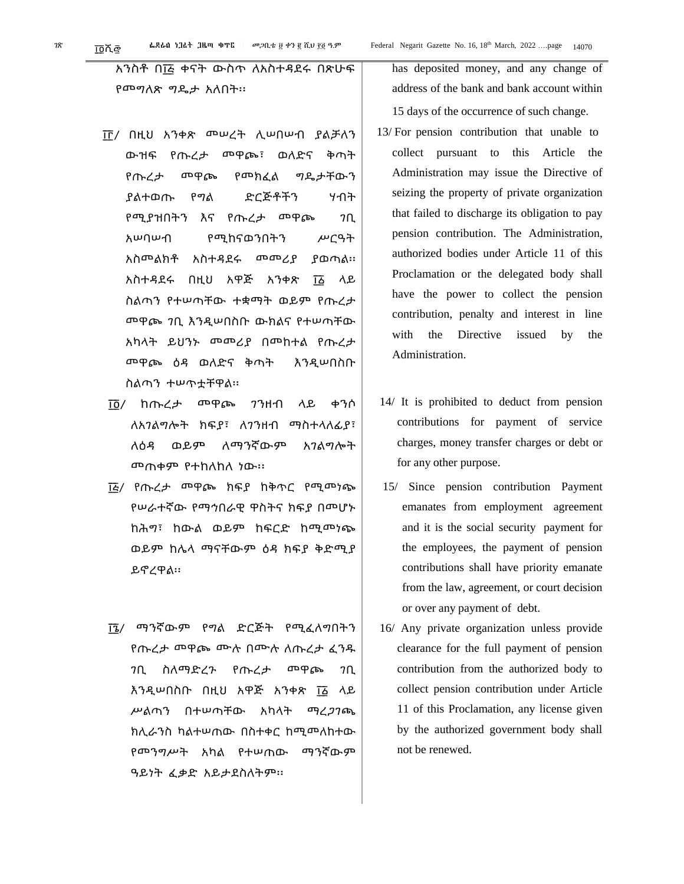አንስቶ በ፲፭ ቀናት ውስጥ ለአስተዳደሩ በጽሁፍ የመግለጽ ግዴታ አለበት፡፡

- ፲ ፫/ በዚህ አንቀጽ መሠረት ሊሠበሠብ ያልቻለን ውዝፍ የጡረታ መዋጮ፣ ወለድና ቅጣት የጡረታ መዋጮ የመክፈል ግዴታቸውን ያልተወጡ የግል ድርጅቶችን ሃብት የሚያዝበትን እና የጡረታ መዋጮ ገቢ አሠባሠብ የሚከናወንበትን ሥርዓት አስመልክቶ አስተዳደሩ መመሪያ ያወጣል፡፡ አስተዳደሩ በዚህ አዋጅ አንቀጽ ፲፩ ላይ ስልጣን የተሠጣቸው ተቋማት ወይም የጡረታ መዋጮ ገቢ እንዲሠበስቡ ውክልና የተሠጣቸው አካላት ይህንኑ መመሪያ በመከተል የጡረታ መዋጮ ዕዳ ወለድና ቅጣት እንዲሠበስቡ ስልጣን ተሠጥቷቸዋል፡፡
- ፲ ፬/ ከጡረታ መዋጮ ገንዘብ ላይ ቀንሶ ለአገልግሎት ክፍያ፣ ለገንዘብ ማስተላለፊያ፣ ለዕዳ ወይም ለማንኛውም አገልግሎት መጠቀም የተከለከለ ነው፡፡
- ፲ ፭/ የጡረታ መዋጮ ክፍያ ከቅጥር የሚመነጭ የሠራተኛው የማኅበራዊ ዋስትና ክፍያ በመሆኑ ከሕግ፣ ከውል ወይም ከፍርድ ከሚመነጭ ወይም ከሌላ ማናቸውም ዕዳ ክፍያ ቅድሚያ ይኖረዋል፡፡
- ፲ ፮/ ማንኛውም የግል ድርጅት የሚፈለግበትን የጡረታ መዋጮ ሙሉ በሙሉ ለጡረታ ፈንዱ ገቢ ስለማድረጉ የጡረታ መዋጮ ገቢ <u>እንዲሠበስቡ በዚህ አዋጅ አንቀጽ ፲፩</u> ላይ ሥልጣን በተሠጣቸው አካላት ማረጋገጫ ክሊራንስ ካልተሠጠው በስተቀር ከሚመለከተው የመንግሥት አካል የተሠጠው ማንኛውም ዓይነት ፈቃድ አይታደስለትም፡፡

has deposited money, and any change of address of the bank and bank account within 15 days of the occurrence of such change.

- 13/ For pension contribution that unable to collect pursuant to this Article the Administration may issue the Directive of seizing the property of private organization that failed to discharge its obligation to pay pension contribution. The Administration, authorized bodies under Article 11 of this Proclamation or the delegated body shall have the power to collect the pension contribution, penalty and interest in line with the Directive issued by the Administration.
- 14/ It is prohibited to deduct from pension contributions for payment of service charges, money transfer charges or debt or for any other purpose.
- 15/ Since pension contribution Payment emanates from employment agreement and it is the social security payment for the employees, the payment of pension contributions shall have priority emanate from the law, agreement, or court decision or over any payment of debt.
- 16/ Any private organization unless provide clearance for the full payment of pension contribution from the authorized body to collect pension contribution under Article 11 of this Proclamation, any license given by the authorized government body shall not be renewed.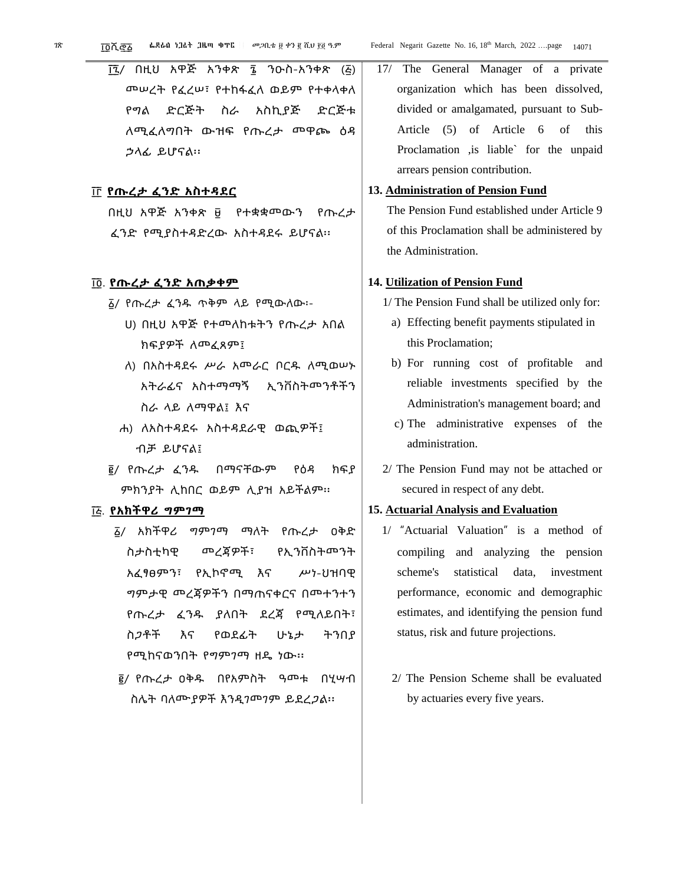፲፯/ በዚህ አዋጅ አንቀጽ ፮ ንዑስ-አንቀጽ (፭) መሠረት የፈረሠ፣ የተከፋፈለ ወይም የተቀላቀለ የግል ድርጅት ስራ አስኪያጅ ድርጅቱ ለሚፈለግበት ውዝፍ የጡረታ መዋጮ ዕዳ ኃላፊ ይሆናል፡፡

#### ፲ ፫ **የጡረታ ፈንድ አስተዳደር**

በዚህ አዋጅ አንቀጽ ፱ የተቋቋመውን የጡረታ ፈንድ የሚያስተዳድረው አስተዳደሩ ይሆናል፡፡

#### ፲ ፬. **የጡረታ ፈንድ አጠቃቀም**

- ፩/ የጡረታ ፈንዱ ጥቅም ላይ የሚውለው፡-
	- ሀ) በዚህ አዋጅ የተመለከቱትን የጡረታ አበል ክፍያዎች ለመፈጸም፤
	- ለ) በአስተዳደሩ ሥራ አመራር ቦርዱ ለሚወሠኑ አትራፊና አስተማማኝ ኢንቨስትመንቶችን ስራ ላይ ለማዋል፤ እና
	- ሐ) ለአስተዳደሩ አስተዳደራዊ ወጪዎች፤ ብቻ ይሆናል፤
- ፪/ የጡረታ ፈንዱ በማናቸውም የዕዳ ክፍያ ምክንያት ሊከበር ወይም ሊያዝ አይችልም፡፡

#### ፲ ፭. **የአክችዋሪ ግምገማ**

- ፩/ አክችዋሪ ግምገማ ማለት የጡረታ ዐቅድ ስታስቲካዊ መረጃዎች፣ የኢንቨስትመንት አፈፃፀምን፣ የኢኮኖሚ እና ሥነ-ህዝባዊ ግምታዊ መረጃዎችን በማጠናቀርና በመተንተን የጡረታ ፈንዱ ያለበት ደረጃ የሚለይበት፣ ስጋቶች እና የወደፊት ሁኔታ ትንበያ የሚከናወንበት የግምገማ ዘዴ ነው፡፡
- ፪/ የጡረታ ዐቅዱ በየአምስት ዓመቱ በሂሣብ ስሌት ባለሙያዎች እንዲገመገም ይደረጋል፡፡

17/ The General Manager of a private organization which has been dissolved, divided or amalgamated, pursuant to Sub-Article (5) of Article 6 of this Proclamation ,is liable` for the unpaid arrears pension contribution.

#### **13. Administration of Pension Fund**

The Pension Fund established under Article 9 of this Proclamation shall be administered by the Administration.

#### **14. Utilization of Pension Fund**

- 1/ The Pension Fund shall be utilized only for:
	- a) Effecting benefit payments stipulated in this Proclamation;
	- b) For running cost of profitable and reliable investments specified by the Administration's management board; and
	- c) The administrative expenses of the administration.
- 2/ The Pension Fund may not be attached or secured in respect of any debt.

#### **15. Actuarial Analysis and Evaluation**

- 1/ "Actuarial Valuation" is a method of compiling and analyzing the pension scheme's statistical data, investment performance, economic and demographic estimates, and identifying the pension fund status, risk and future projections.
	- 2/ The Pension Scheme shall be evaluated by actuaries every five years.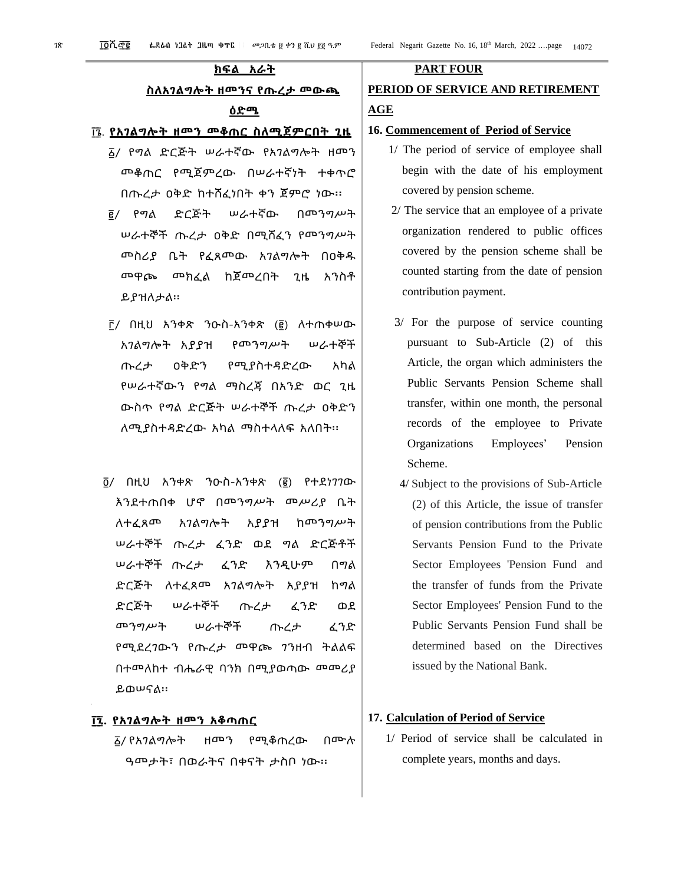#### **ክፍል አራት**

#### **ስለአገልግሎት ዘመንና የጡረታ መውጫ**

#### **ዕድሜ**

#### ፲ ፮. **የአገልግሎት ዘመን መቆጠር ስለሚጀምርበት ጊዜ**

- ፩/ የግል ድርጅት ሠራተኛው የአገልግሎት ዘመን መቆጠር የሚጀምረው በሠራተኛነት ተቀጥሮ በጡረታ ዐቅድ ከተሸፈነበት ቀን ጀምሮ ነው፡፡
- ፪/ የግል ድርጅት ሠራተኛው በመንግሥት ሠራተኞች ጡረታ ዐቅድ በሚሸፈን የመንግሥት መስሪያ ቤት የፈጸመው አገልግሎት በዐቅዱ መዋጮ መክፈል ከጀመረበት ጊዜ አንስቶ ይያዝለታል፡፡
- ፫/ በዚህ አንቀጽ ንዑስ-አንቀጽ (፪) ለተጠቀሠው አገልግሎት አያያዝ የመንግሥት ሠራተኞች ጡረታ ዐቅድን የሚያስተዳድረው አካል የሠራተኛውን የግል ማስረጃ በአንድ ወር ጊዜ ውስጥ የግል ድርጅት ሠራተኞች ጡረታ ዐቅድን ለሚያስተዳድረው አካል ማስተላለፍ አለበት፡፡
- ፬/ በዚህ አንቀጽ ንዑስ-አንቀጽ (፪) የተደነገገው እንደተጠበቀ ሆኖ በመንግሥት መሥሪያ ቤት ለተፈጸመ አገልግሎት አያያዝ ከመንግሥት ሠራተኞች ጡረታ ፈንድ ወደ ግል ድርጅቶች ሠራተኞች ጡረታ ፈንድ እንዲሁም በግል ድርጅት ለተፈጸመ አገልግሎት አያያዝ ከግል ድርጅት ሠራተኞች ጡረታ ፈንድ ወደ መንግሥት ሠራተኞች ጡረታ ፈንድ የሚደረገውን የጡረታ መዋጮ ገንዘብ ትልልፍ በተመለከተ ብሔራዊ ባንክ በሚያወጣው መመሪያ ይወሠናል፡፡

#### **፲ ፯. የአገልግሎት ዘመን አቆጣጠር**

፩/ የአገልግሎት ዘመን የሚቆጠረው በሙሉ ዓመታት፣ በወራትና በቀናት ታስቦ ነው፡፡

#### **PART FOUR**

### **PERIOD OF SERVICE AND RETIREMENT AGE**

#### **16. Commencement of Period of Service**

- 1/ The period of service of employee shall begin with the date of his employment covered by pension scheme.
- 2/ The service that an employee of a private organization rendered to public offices covered by the pension scheme shall be counted starting from the date of pension contribution payment.
- 3/ For the purpose of service counting pursuant to Sub-Article (2) of this Article, the organ which administers the Public Servants Pension Scheme shall transfer, within one month, the personal records of the employee to Private Organizations Employees' Pension Scheme.
- 4/ Subject to the provisions of Sub-Article (2) of this Article, the issue of transfer of pension contributions from the Public Servants Pension Fund to the Private Sector Employees 'Pension Fund and the transfer of funds from the Private Sector Employees' Pension Fund to the Public Servants Pension Fund shall be determined based on the Directives issued by the National Bank.

#### **17. Calculation of Period of Service**

1/ Period of service shall be calculated in complete years, months and days.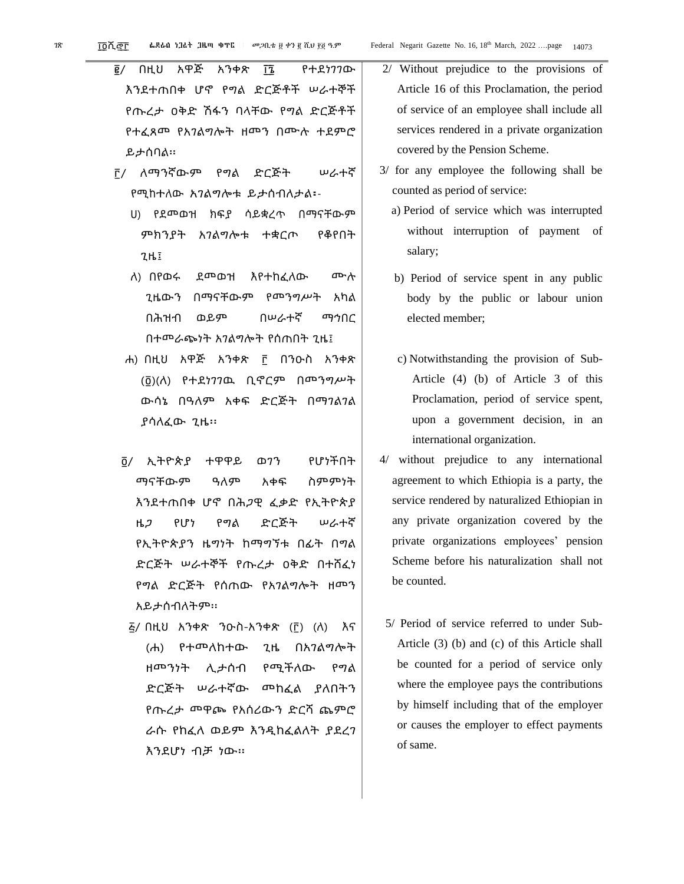- ፪/ በዚህ አዋጅ አንቀጽ ፲ ፮ የተደነገገው እንደተጠበቀ ሆኖ የግል ድርጅቶች ሠራተኞች የጡረታ ዐቅድ ሽፋን ባላቸው የግል ድርጅቶች የተፈጸመ የአገልግሎት ዘመን በሙሉ ተደምሮ ይታሰባል፡፡
- ፫/ ለማንኛውም የግል ድርጅት ሠራተኛ የሚከተለው አገልግሎቱ ይታሰብለታል፡-
	- ሀ) የደመወዝ ክፍያ ሳይቋረጥ በማናቸውም ምክንያት አገልግሎቱ ተቋርጦ የቆየበት ጊዜ፤
	- ለ) በየወሩ ደመወዝ እየተከፈለው ሙሉ ጊዜውን በማናቸውም የመንግሥት አካል በሕዝብ ወይም በሠራተኛ ማኅበር በተመራጭነት አገልግሎት የሰጠበት ጊዜ፤
	- ሐ) በዚህ አዋጅ አንቀጽ ፫ በንዑስ አንቀጽ (፬)(ለ) የተደነገገዉ ቢኖርም በመንግሥት ውሳኔ በዓለም አቀፍ ድርጅት በማገልገል ያሳለፈው ጊዜ፡፡
- ፬/ ኢትዮጵያ ተዋዋይ ወገን የሆነችበት ማናቸውም ዓለም አቀፍ ስምምነት እንደተጠበቀ ሆኖ በሕጋዊ ፈቃድ የኢትዮጵያ ዜጋ የሆነ የግል ድርጅት ሠራተኛ የኢትዮጵያን ዜግነት ከማግኘቱ በፊት በግል ድርጅት ሠራተኞች የጡረታ ዐቅድ በተሸፈነ የግል ድርጅት የሰጠው የአገልግሎት ዘመን አይታሰብለትም፡፡
	- ፭/ በዚህ አንቀጽ ንዑስ-አንቀጽ (፫) (ለ) እና (ሐ) የተመለከተው ጊዜ በአገልግሎት ዘመንነት ሊታሰብ የሚችለው የግል ድርጅት ሠራተኛው መከፈል ያለበትን የጡረታ መዋጮ የአሰሪውን ድርሻ ጨምሮ ራሱ የከፈለ ወይም እንዲከፈልለት ያደረገ እንደሆነ ብቻ ነው፡፡
- 2/ Without prejudice to the provisions of Article 16 of this Proclamation, the period of service of an employee shall include all services rendered in a private organization covered by the Pension Scheme.
- 3/ for any employee the following shall be counted as period of service:
	- a) Period of service which was interrupted without interruption of payment of salary;
	- b) Period of service spent in any public body by the public or labour union elected member;
	- c) Notwithstanding the provision of Sub-Article (4) (b) of Article 3 of this Proclamation, period of service spent, upon a government decision, in an international organization.
- 4/ without prejudice to any international agreement to which Ethiopia is a party, the service rendered by naturalized Ethiopian in any private organization covered by the private organizations employees' pension Scheme before his naturalization shall not be counted.
	- 5/ Period of service referred to under Sub-Article (3) (b) and (c) of this Article shall be counted for a period of service only where the employee pays the contributions by himself including that of the employer or causes the employer to effect payments of same.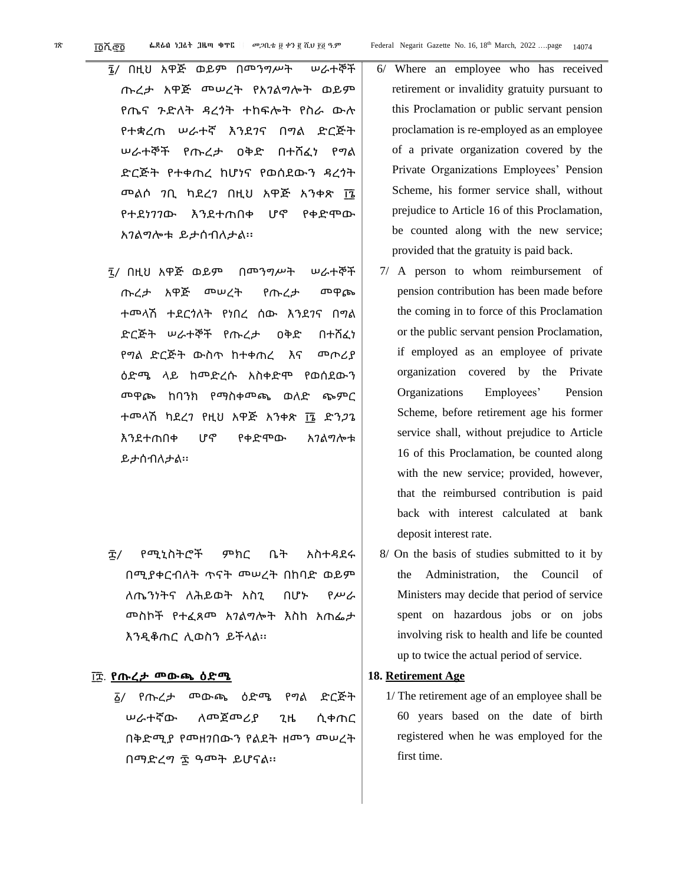- ፮/ በዚህ አዋጅ ወይም በመንግሥት ሠራተኞች ጡረታ አዋጅ መሠረት የአገልግሎት ወይም የጤና ጉድለት ዳረጎት ተከፍሎት የስራ ውሉ የተቋረጠ ሠራተኛ እንደገና በግል ድርጅት ሠራተኞች የጡረታ ዐቅድ በተሸፈነ የግል ድርጅት የተቀጠረ ከሆነና የወሰደውን ዳረጎት መልሶ ንቢ ካደረን በዚህ አዋጅ አንቀጽ ፲፮ የተደነገገው እንደተጠበቀ ሆኖ የቀድሞው አገልግሎቱ ይታሰብለታል፡፡
- ፯/ በዚህ አዋጅ ወይም በመንግሥት ሠራተኞች ጡረታ አዋጅ መሠረት የጡረታ መዋጮ ተመላሽ ተደርጎለት የነበረ ሰው እንደገና በግል ድርጅት ሠራተኞች የጡረታ ዐቅድ በተሸፈነ የግል ድርጅት ውስጥ ከተቀጠረ እና መጦሪያ ዕድሜ ላይ ከመድረሱ አስቀድሞ የወሰደውን መዋጮ ከባንክ የማስቀመጫ ወለድ ጭምር ተመላሽ ካደረን የዚህ አዋጅ አንቀጽ ፲፮ ድን*ጋ*ጌ እንደተጠበቀ ሆኖ የቀድሞው አገልግሎቱ ይታሰብለታል፡፡
- ፰/ የሚኒስትሮች ምክር ቤት አስተዳደሩ በሚያቀርብለት ጥናት መሠረት በከባድ ወይም ለጤንነትና ለሕይወት አስጊ በሆኑ የሥራ መስኮች የተፈጸመ አገልግሎት እስከ አጠፌታ እንዲቆጠር ሊወስን ይችላል፡፡

#### ፲ ፰. **የጡረታ መውጫ ዕድሜ**

፩/ የጡረታ መውጫ ዕድሜ የግል ድርጅት ሠራተኛው ለመጀመሪያ ጊዜ ሲቀጠር በቅድሚያ የመዘገበውን የልደት ዘመን መሠረት በማድረግ ፷ ዓመት ይሆናል፡፡

- 6/ Where an employee who has received retirement or invalidity gratuity pursuant to this Proclamation or public servant pension proclamation is re-employed as an employee of a private organization covered by the Private Organizations Employees' Pension Scheme, his former service shall, without prejudice to Article 16 of this Proclamation, be counted along with the new service; provided that the gratuity is paid back.
- 7/ A person to whom reimbursement of pension contribution has been made before the coming in to force of this Proclamation or the public servant pension Proclamation, if employed as an employee of private organization covered by the Private Organizations Employees' Pension Scheme, before retirement age his former service shall, without prejudice to Article 16 of this Proclamation, be counted along with the new service; provided, however, that the reimbursed contribution is paid back with interest calculated at bank deposit interest rate.
- 8/ On the basis of studies submitted to it by the Administration, the Council of Ministers may decide that period of service spent on hazardous jobs or on jobs involving risk to health and life be counted up to twice the actual period of service.

#### **18. Retirement Age**

1/ The retirement age of an employee shall be 60 years based on the date of birth registered when he was employed for the first time.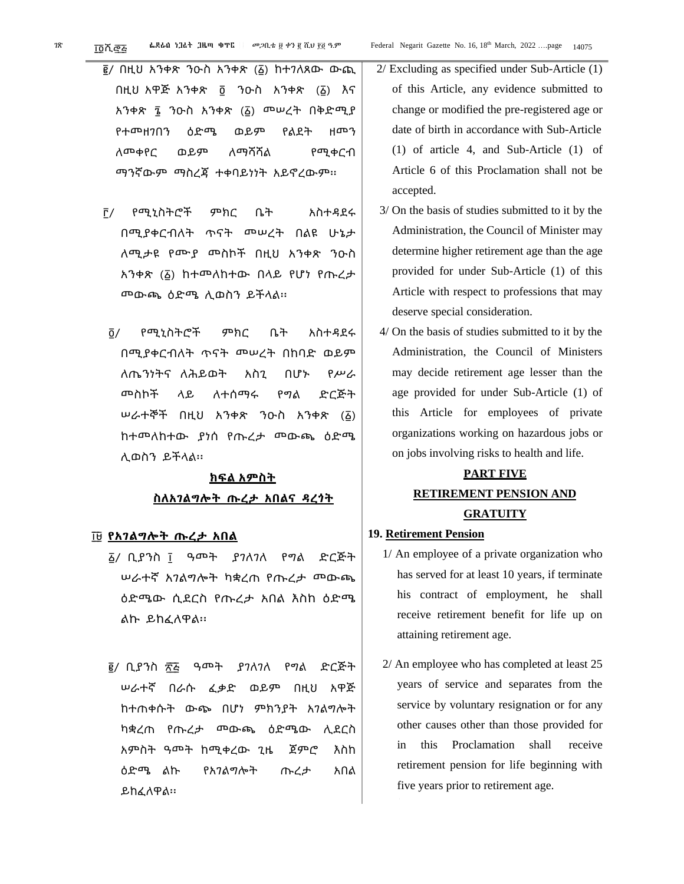- ፪/ በዚህ አንቀጽ ንዑስ አንቀጽ (፩) ከተገለጸው ውጪ በዚህ አዋጅ አንቀጽ ፬ ንዑስ አንቀጽ (፩) እና አንቀጽ ፮ ንዑስ አንቀጽ (፩) መሠረት በቅድሚያ የተመዘገበን ዕድሜ ወይም የልደት ዘመን ለመቀየር ወይም ለማሻሻል የሚቀርብ ማንኛውም ማስረጃ ተቀባይነነት አይኖረውም፡፡
- ፫/ የሚኒስትሮች ምክር ቤት አስተዳደሩ በሚያቀርብለት ጥናት መሠረት በልዩ ሁኔታ ለሚታዩ የሙያ መስኮች በዚህ አንቀጽ ንዑስ አንቀጽ (፩) ከተመለከተው በላይ የሆነ የጡረታ መውጫ ዕድሜ ሊወስን ይችላል፡፡
- ፬/ የሚኒስትሮች ምክር ቤት አስተዳደሩ በሚያቀርብለት ጥናት መሠረት በከባድ ወይም ለጤንነትና ለሕይወት አስጊ በሆኑ የሥራ መስኮች ላይ ለተሰማሩ የግል ድርጅት ሠራተኞች በዚህ አንቀጽ ንዑስ አንቀጽ (፩) ከተመለከተው ያነሰ የጡረታ መውጫ ዕድሜ ሊወስን ይችላል፡፡

### **ክፍል አምስት ስለአገልግሎት ጡረታ አበልና ዳረጎት**

#### ፲ ፱ **የአገልግሎት ጡረታ አበል**

- ፩/ ቢያንስ ፲ ዓመት ያገለገለ የግል ድርጅት ሠራተኛ አገልግሎት ካቋረጠ የጡረታ መውጫ ዕድሜው ሲደርስ የጡረታ አበል እስከ ዕድሜ ልኩ ይከፈለዋል፡፡
- ፪/ ቢያንስ ፳፭ ዓመት ያንለንለ የግል ድርጅት ሠራተኛ በራሱ ፈቃድ ወይም በዚህ አዋጅ ከተጠቀሱት ውጭ በሆነ ምክንያት አገልግሎት ካቋረጠ የጡረታ መውጫ ዕድሜው ሊደርስ አምስት ዓመት ከሚቀረው ጊዜ ጀምሮ እስከ ዕድሜ ልኩ የአገልግሎት ጡረታ አበል ይከፈለዋል፡፡
- 2/ Excluding as specified under Sub-Article (1) of this Article, any evidence submitted to change or modified the pre-registered age or date of birth in accordance with Sub-Article (1) of article 4, and Sub-Article (1) of Article 6 of this Proclamation shall not be accepted.
- 3/ On the basis of studies submitted to it by the Administration, the Council of Minister may determine higher retirement age than the age provided for under Sub-Article (1) of this Article with respect to professions that may deserve special consideration.
- 4/ On the basis of studies submitted to it by the Administration, the Council of Ministers may decide retirement age lesser than the age provided for under Sub-Article (1) of this Article for employees of private organizations working on hazardous jobs or on jobs involving risks to health and life.

### **PART FIVE RETIREMENT PENSION AND GRATUITY**

#### **19. Retirement Pension**

- 1/ An employee of a private organization who has served for at least 10 years, if terminate his contract of employment, he shall receive retirement benefit for life up on attaining retirement age.
- 2/ An employee who has completed at least 25 years of service and separates from the service by voluntary resignation or for any other causes other than those provided for in this Proclamation shall receive retirement pension for life beginning with five years prior to retirement age.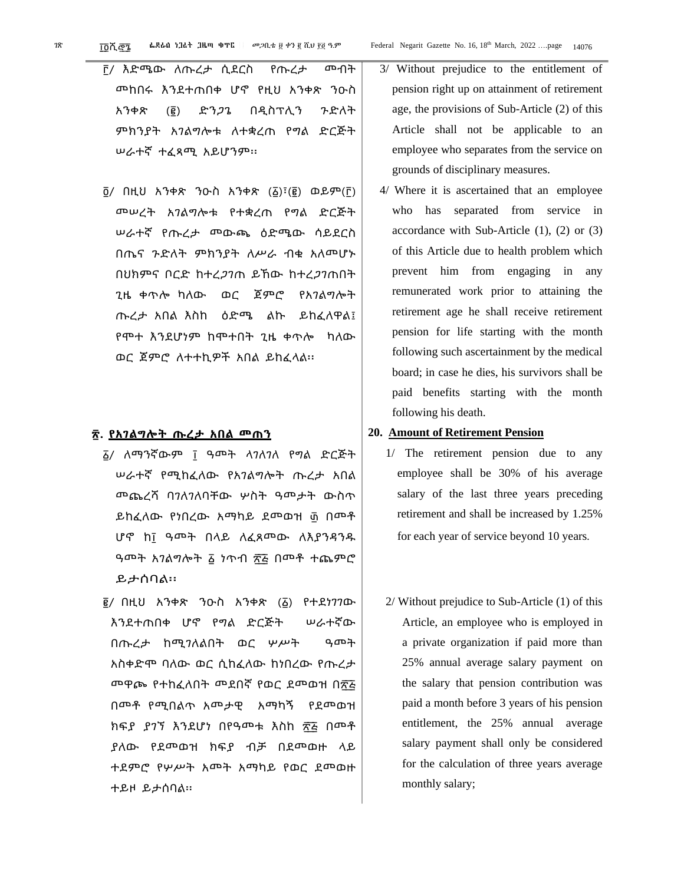፫/ እድሜው ለጡረታ ሲደርስ የጡረታ መብት መከበሩ እንደተጠበቀ ሆኖ የዚህ አንቀጽ ንዑስ አንቀጽ (፪) ድንጋጌ በዲስፕሊን ጉድለት ምክንያት አገልግሎቱ ለተቋረጠ የግል ድርጅት ሠራተኛ ተፈጻሚ አይሆንም፡፡

 $\overline{0}$ / በዚህ አንቀጽ ንዑስ አንቀጽ (፩)፣(፪) ወይም(፫) መሠረት አገልግሎቱ የተቋረጠ የግል ድርጅት ሠራተኛ የጡረታ መውጫ ዕድሜው ሳይደርስ በጤና ጉድለት ምክንያት ለሥራ ብቁ አለመሆኑ በሀክምና ቦርድ ከተረ*ጋገ*ጠ ይኸው ከተረ*ጋገ*ጠበት ጊዜ ቀጥሎ ካለው ወር ጀምሮ የአገልግሎት ጡረታ አበል እስከ ዕድሜ ልኩ ይከፈለዋል፤ የሞተ እንደሆነም ከሞተበት ጊዜ ቀጥሎ ካለው ወር ጀምሮ ለተተኪዎች አበል ይከፈላል፡፡

#### **፳. የአገልግሎት ጡረታ አበል መጠን**

- ፩/ ለማንኛውም ፲ ዓመት ላገለገለ የግል ድርጅት ሠራተኛ የሚከፈለው የአገልግሎት ጡረታ አበል መጨረሻ ባገለገለባቸው ሦስት ዓመታት ውስጥ ይከፈለው የነበረው አማካይ ደመወዝ ፴ በመቶ ሆኖ ከ፲ ዓመት በላይ ለፈጸመው ለእያንዳንዱ ዓመት አገልግሎት ፩ ነጥብ ፳፭ በመቶ ተጨምሮ ይታሰባል፡፡
- ፪/ በዚህ አንቀጽ ንዑስ አንቀጽ (፩) የተደነገገው እንደተጠበቀ ሆኖ የግል ድርጅት ሠራተኛው በጡረታ ከሚገለልበት ወር ሦሥት ዓመት አስቀድሞ ባለው ወር ሲከፈለው ከነበረው የጡረታ መዋጮ የተከፈለበት መደበኛ የወር ደመወዝ በ፳፭ በመቶ የሚበልጥ አመታዊ አማካኝ የደመወዝ ክፍያ ያገኘ እንደሆነ በየዓመቱ እስከ ፳፭ በመቶ ያለው የደመወዝ ክፍያ ብቻ በደመወዙ ላይ ተደምሮ የሦሥት አመት አማካይ የወር ደመወዙ ተይዞ ይታሰባል፡፡
- 3/ Without prejudice to the entitlement of pension right up on attainment of retirement age, the provisions of Sub-Article (2) of this Article shall not be applicable to an employee who separates from the service on grounds of disciplinary measures.
- 4/ Where it is ascertained that an employee who has separated from service in accordance with Sub-Article (1), (2) or (3) of this Article due to health problem which prevent him from engaging in any remunerated work prior to attaining the retirement age he shall receive retirement pension for life starting with the month following such ascertainment by the medical board; in case he dies, his survivors shall be paid benefits starting with the month following his death.

#### **20. Amount of Retirement Pension**

- 1/ The retirement pension due to any employee shall be 30% of his average salary of the last three years preceding retirement and shall be increased by 1.25% for each year of service beyond 10 years.
- 2/ Without prejudice to Sub-Article (1) of this Article, an employee who is employed in a private organization if paid more than 25% annual average salary payment on the salary that pension contribution was paid a month before 3 years of his pension entitlement, the 25% annual average salary payment shall only be considered for the calculation of three years average monthly salary;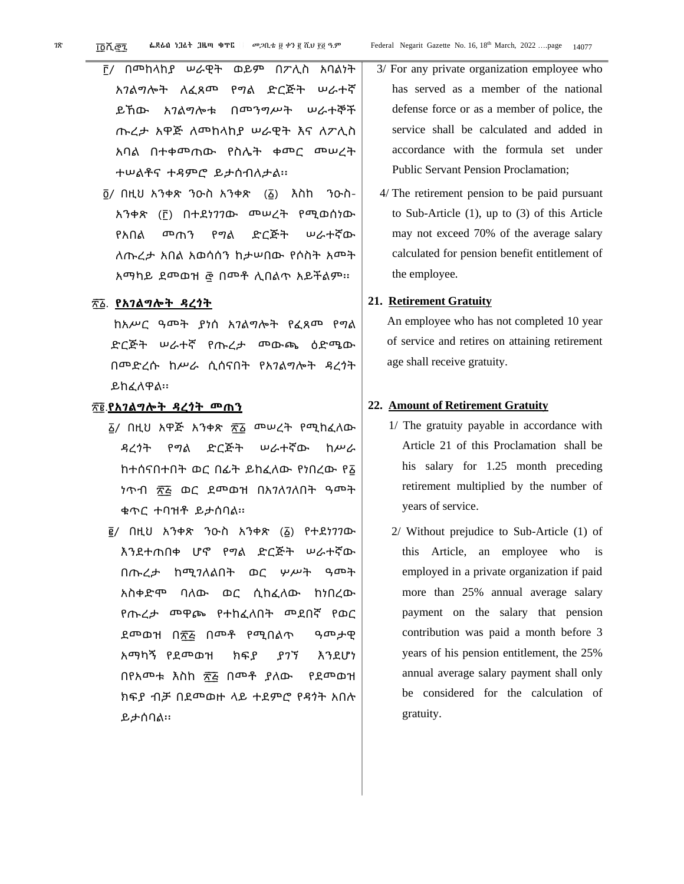- ፫/ በመከላከያ ሠራዊት ወይም በፖሊስ አባልነት አገልግሎት ለፈጸመ የግል ድርጅት ሠራተኛ ይኸው አገልግሎቱ በመንግሥት ሠራተኞች ጡረታ አዋጅ ለመከላከያ ሠራዊት እና ለፖሊስ አባል በተቀመጠው የስሌት ቀመር መሠረት ተሠልቶና ተዳምሮ ይታሰብለታል፡፡
- ፬/ በዚህ አንቀጽ ንዑስ አንቀጽ (፩) እስከ ንዑስ-አንቀጽ (፫) በተደነገገው መሠረት የሚወሰነው የአበል መጠን የግል ድርጅት ሠራተኛው ለጡረታ አበል አወሳሰን ከታሠበው የሶስት አመት አማካይ ደመወዝ ፸ በመቶ ሊበልጥ አይችልም፡፡

#### ፳ ፩. **የአገልግሎት ዳረጎት**

ከአሥር ዓመት ያነሰ አገልግሎት የፈጸመ የግል ድርጅት ሠራተኛ የጡረታ መውጫ ዕድሜው በመድረሱ ከሥራ ሲሰናበት የአገልግሎት ዳረጎት ይከፈለዋል፡፡

#### ፳ ፪.**የአገልግሎት ዳረጎት መጠን**

- ፩/ በዚህ አዋጅ አንቀጽ ፳ ፩ መሠረት የሚከፈለው ዳረጎት የግል ድርጅት ሠራተኛው ከሥራ ከተሰናበተበት ወር በፊት ይከፈለው የነበረው የ፩ ነጥብ ፳፭ ወር ደመወዝ በአ*ገ*ለገለበት ዓመት ቁጥር ተባዝቶ ይታሰባል፡፡
- ፪/ በዚህ አንቀጽ ንዑስ አንቀጽ (፩) የተደነገገው እንደተጠበቀ ሆኖ የግል ድርጅት ሠራተኛው በጡረታ ከሚገለልበት ወር ሦሥት ዓመት አስቀድሞ ባለው ወር ሲከፈለው ከነበረው የጡረታ መዋጮ የተከፈለበት መደበኛ የወር ደመወዝ በ፳፭ በመቶ የሚበልጥ ዓመታዊ አማካኝ የደመወዝ ክፍያ ያገኘ እንደሆነ በየአመቱ እስከ ፳፭ በመቶ ያለው የደመወዝ ክፍያ ብቻ በደመወዙ ላይ ተደምሮ የዳጎት አበሉ ይታሰባል፡፡
- 3/ For any private organization employee who has served as a member of the national defense force or as a member of police, the service shall be calculated and added in accordance with the formula set under Public Servant Pension Proclamation;
- 4/ The retirement pension to be paid pursuant to Sub-Article (1), up to (3) of this Article may not exceed 70% of the average salary calculated for pension benefit entitlement of the employee.

#### **21. Retirement Gratuity**

An employee who has not completed 10 year of service and retires on attaining retirement age shall receive gratuity.

#### **22. Amount of Retirement Gratuity**

- 1/ The gratuity payable in accordance with Article 21 of this Proclamation shall be his salary for 1.25 month preceding retirement multiplied by the number of years of service.
- 2/ Without prejudice to Sub-Article (1) of this Article, an employee who is employed in a private organization if paid more than 25% annual average salary payment on the salary that pension contribution was paid a month before 3 years of his pension entitlement, the 25% annual average salary payment shall only be considered for the calculation of gratuity.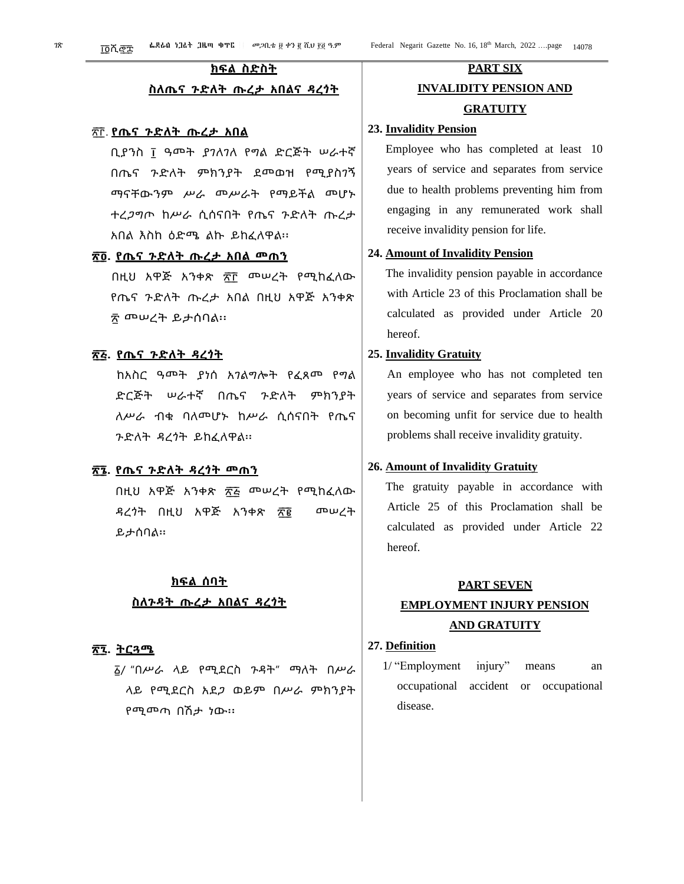### **ክፍል ስድስት**

#### **ስለጤና ጉድለት ጡረታ አበልና ዳረጎት**

#### ፳ ፫. **የጤና ጉድለት ጡረታ አበል**

ቢያንስ ፲ ዓመት ያገለገለ የግል ድርጅት ሠራተኛ በጤና ጉድለት ምክንያት ደመወዝ የሚያስገኝ ማናቸውንም ሥራ መሥራት የማይችል መሆኑ ተረጋግጦ ከሥራ ሲሰናበት የጤና ጉድለት ጡረታ አበል እስከ ዕድሜ ልኩ ይከፈለዋል፡፡

#### **፳ ፬. የጤና ጉድለት ጡረታ አበል መጠን**

በዚህ አዋጅ አንቀጽ ፳፫ መሠረት የሚከፈለው የጤና ጉድለት ጡረታ አበል በዚህ አዋጅ አንቀጽ ፳ መሠረት ይታሰባል፡፡

#### **፳ ፭. የጤና ጉድለት ዳረጎት**

ከአስር ዓመት ያነሰ አገልግሎት የፈጸመ የግል ድርጅት ሠራተኛ በጤና ጉድለት ምክንያት ለሥራ ብቁ ባለመሆኑ ከሥራ ሲሰናበት የጤና ጉድለት ዳረጎት ይከፈለዋል፡፡

#### **፳ ፮. የጤና ጉድለት ዳረጎት መጠን**

በዚህ አዋጅ አንቀጽ ፳ ፭ መሠረት የሚከፈለው ዳረጎት በዚህ አዋጅ አንቀጽ ፳፪ መሠረት ይታሰባል፡፡

#### **ክፍል ሰባት**

#### **ስለጉዳት ጡረታ አበልና ዳረጎት**

#### **፳ ፯. ትርጓሜ**

፩/ "በሥራ ላይ የሚደርስ ጉዳት" ማለት በሥራ ላይ የሚደርስ አደጋ ወይም በሥራ ምክንያት የሚመጣ በሽታ ነው፡፡

### **PART SIX INVALIDITY PENSION AND GRATUITY**

#### **23. Invalidity Pension**

Employee who has completed at least 10 years of service and separates from service due to health problems preventing him from engaging in any remunerated work shall receive invalidity pension for life.

#### **24. Amount of Invalidity Pension**

The invalidity pension payable in accordance with Article 23 of this Proclamation shall be calculated as provided under Article 20 hereof.

#### **25. Invalidity Gratuity**

An employee who has not completed ten years of service and separates from service on becoming unfit for service due to health problems shall receive invalidity gratuity.

#### **26. Amount of Invalidity Gratuity**

The gratuity payable in accordance with Article 25 of this Proclamation shall be calculated as provided under Article 22 hereof.

#### **PART SEVEN**

### **EMPLOYMENT INJURY PENSION AND GRATUITY**

#### **27. Definition**

1/ "Employment injury" means an occupational accident or occupational disease.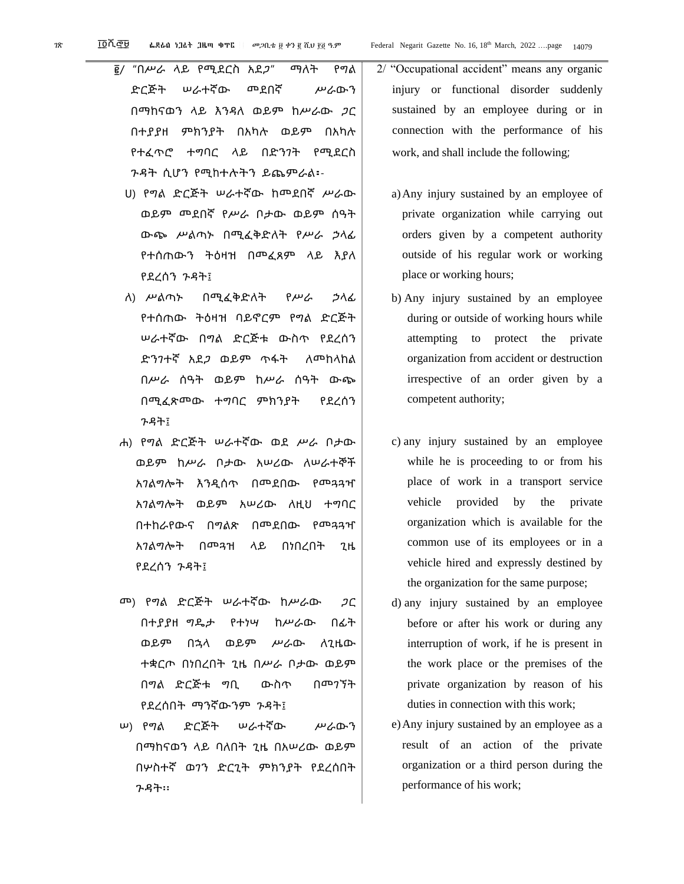፪/ "በሥራ ላይ የሚደርስ አደጋ" ማለት የግል ድርጅት ሠራተኛው መደበኛ ሥራውን በማከናወን ላይ እንዳለ ወይም ከሥራው ጋር በተያያዘ ምክንያት በአካሉ ወይም በአካሉ የተፈጥሮ ተግባር ላይ በድንገት የሚደርስ ጉዳት ሲሆን የሚከተሉትን ይጨምራል፡-

ሀ) የግል ድርጅት ሠራተኛው ከመደበኛ ሥራው ወይም መደበኛ የሥራ ቦታው ወይም ሰዓት ውጭ ሥልጣኑ በሚፈቅድለት የሥራ ኃላፊ የተሰጠውን ትዕዛዝ በመፈጸም ላይ እያለ የደረሰን ጉዳት፤

- ለ) ሥልጣኑ በሚፈቅድለት የሥራ ኃላፊ የተሰጠው ትዕዛዝ ባይኖርም የግል ድርጅት ሠራተኛው በግል ድርጅቱ ውስጥ የደረሰን ድንገተኛ አደጋ ወይም ጥፋት ለመከላከል በሥራ ሰዓት ወይም ከሥራ ሰዓት ውጭ በሚፈጽመው ተግባር ምክንያት የደረሰን ጉዳት፤
- ሐ) የግል ድርጅት ሠራተኛው ወደ ሥራ ቦታው ወይም ከሥራ ቦታው አሠሪው ለሠራተኞች አገልግሎት እንዲሰጥ በመደበው የመጓጓዣ አገልግሎት ወይም አሠሪው ለዚህ ተግባር በተከራየውና በግልጽ በመደበው የመጓጓዣ አገልግሎት በመጓዝ ላይ በነበረበት ጊዜ የደረሰን ጉዳት፤
- መ) የግል ድርጅት ሠራተኛው ከሥራው ጋር በተያያዘ ግዴታ የተነሣ ከሥራው በፊት ወይም በኋላ ወይም ሥራው ለጊዜው ተቋርጦ በነበረበት ጊዜ በሥራ ቦታው ወይም በግል ድርጅቱ ግቢ ውስጥ በመገኘት የደረሰበት ማንኛውንም ጉዳት፤
- ሠ) የግል ድርጅት ሠራተኛው ሥራውን በማከናወን ላይ ባለበት ጊዜ በአሠሪው ወይም በሦስተኛ ወገን ድርጊት ምክንያት የደረሰበት ጉዳት፡፡
- 2/ "Occupational accident" means any organic injury or functional disorder suddenly sustained by an employee during or in connection with the performance of his work, and shall include the following;
	- a)Any injury sustained by an employee of private organization while carrying out orders given by a competent authority outside of his regular work or working place or working hours;
	- b) Any injury sustained by an employee during or outside of working hours while attempting to protect the private organization from accident or destruction irrespective of an order given by a competent authority;
	- c) any injury sustained by an employee while he is proceeding to or from his place of work in a transport service vehicle provided by the private organization which is available for the common use of its employees or in a vehicle hired and expressly destined by the organization for the same purpose;
	- d) any injury sustained by an employee before or after his work or during any interruption of work, if he is present in the work place or the premises of the private organization by reason of his duties in connection with this work;
	- e)Any injury sustained by an employee as a result of an action of the private organization or a third person during the performance of his work;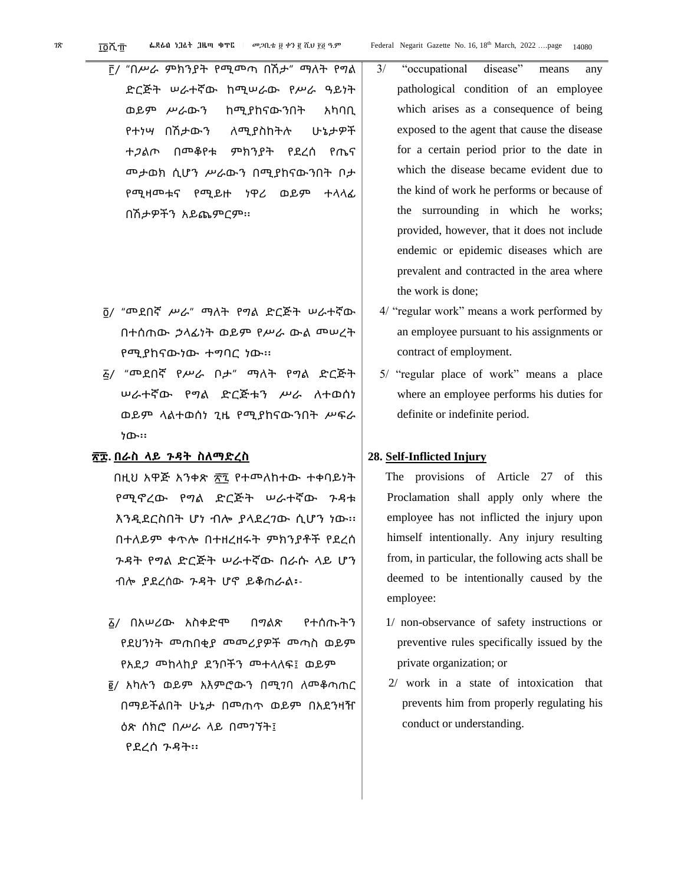- ፫/ "በሥራ ምክንያት የሚመጣ በሽታ" ማለት የግል ድርጅት ሠራተኛው ከሚሠራው የሥራ ዓይነት ወይም ሥራውን ከሚያከናውንበት አካባቢ የተነሣ በሽታውን ለሚያስከትሉ ሁኔታዎች ተጋልጦ በመቆየቱ ምክንያት የደረሰ የጤና መታወክ ሲሆን ሥራውን በሚያከናውንበት ቦታ የሚዛመቱና የሚይዙ ነዋሪ ወይም ተላላፊ በሽታዎችን አይጨምርም፡፡
- ፬/ "መደበኛ ሥራ" ማለት የግል ድርጅት ሠራተኛው በተሰጠው ኃላፊነት ወይም የሥራ ውል መሠረት የሚያከናውነው ተግባር ነው፡፡
- ፭/ "መደበኛ የሥራ ቦታ" ማለት የግል ድርጅት ሠራተኛው የግል ድርጅቱን ሥራ ለተወሰነ ወይም ላልተወሰነ ጊዜ የሚያከናውንበት ሥፍራ ነው፡፡
- **፳ ፰. በራስ ላይ ጉዳት ስለማድረስ**

በዚህ አዋጅ አንቀጽ ፳፯ የተመለከተው ተቀባይነት የሚኖረው የግል ድርጅት ሠራተኛው ጉዳቱ እንዲደርስበት ሆነ ብሎ ያላደረገው ሲሆን ነው፡፡ በተለይም ቀጥሎ በተዘረዘሩት ምክንያቶች የደረሰ ጉዳት የግል ድርጅት ሠራተኛው በራሱ ላይ ሆን ብሎ ያደረሰው ጉዳት ሆኖ ይቆጠራል፡-

- ፩/ በአሠሪው አስቀድሞ በግልጽ የተሰጡትን የደህንነት መጠበቂያ መመሪያዎች መጣስ ወይም የአደጋ መከላከያ ደንቦችን መተላለፍ፤ ወይም
- ፪/ አካሉን ወይም አእምሮውን በሚገባ ለመቆጣጠር በማይችልበት ሁኔታ በመጠጥ ወይም በአደንዛዥ ዕጽ ሰክሮ በሥራ ላይ በመገኘት፤ የደረሰ ጉዳት፡፡
- 3/ "occupational disease" means any pathological condition of an employee which arises as a consequence of being exposed to the agent that cause the disease for a certain period prior to the date in which the disease became evident due to the kind of work he performs or because of the surrounding in which he works; provided, however, that it does not include endemic or epidemic diseases which are prevalent and contracted in the area where the work is done;
- 4/ "regular work" means a work performed by an employee pursuant to his assignments or contract of employment.
- 5/ "regular place of work" means a place where an employee performs his duties for definite or indefinite period.

#### **28. Self-Inflicted Injury**

The provisions of Article 27 of this Proclamation shall apply only where the employee has not inflicted the injury upon himself intentionally. Any injury resulting from, in particular, the following acts shall be deemed to be intentionally caused by the employee:

- 1/ non-observance of safety instructions or preventive rules specifically issued by the private organization; or
- 2/ work in a state of intoxication that prevents him from properly regulating his conduct or understanding.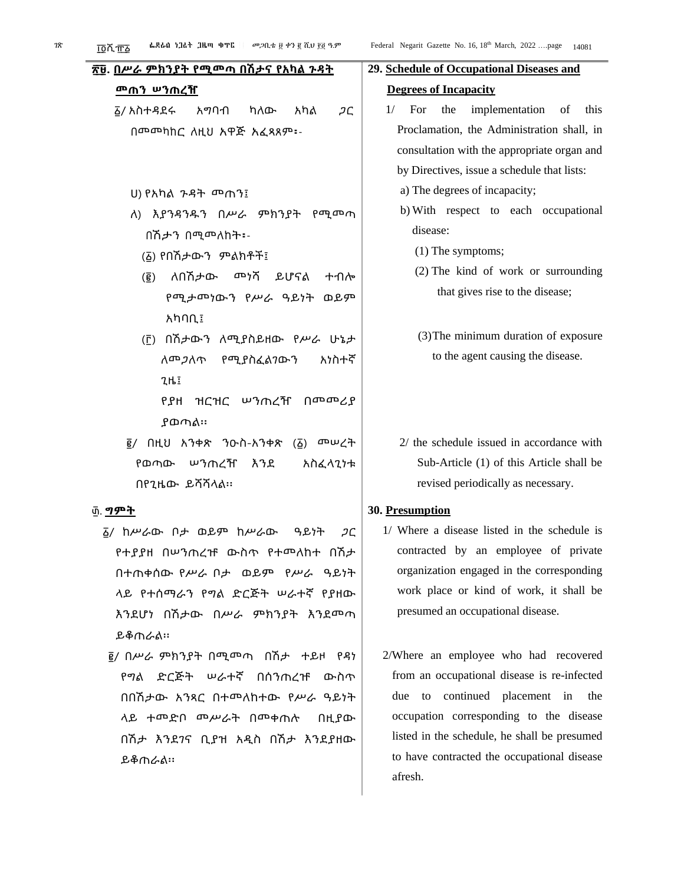ይቆጠራል፡፡

to have contracted the occupational disease

afresh.

| ፌደራስ ነጋፊት ጋዜጣ ቁጥር<br><i>መጋ</i> ቢቴ ፱ ቀን ፪ ሺህ ፻፬ ዓ.ም<br><u> ፲፬</u> ሺ፹፩ | Federal Negarit Gazette No. 16, 18th March, 2022 page<br>14081 |  |  |  |
|----------------------------------------------------------------------|----------------------------------------------------------------|--|--|--|
| ፳፱. በሥራ ምክንያት የሚመጣ በሽታና የአካል <u>ንዳት</u>                              | 29. Schedule of Occupational Diseases and                      |  |  |  |
|                                                                      | <b>Degrees of Incapacity</b>                                   |  |  |  |
| ፩/ አስተዳደሩ<br>አማባብ<br>ካለው<br>አካል<br>ጋር                                | $1/$ For the<br>implementation<br>of<br>this                   |  |  |  |
| በመመካከር ለዚህ አዋጅ አፈጻጸም፡-                                               | Proclamation, the Administration shall, in                     |  |  |  |
|                                                                      | consultation with the appropriate organ and                    |  |  |  |
|                                                                      | by Directives, issue a schedule that lists:                    |  |  |  |
| U) የአካል <i>ጉዳ</i> ት መጠን፤                                             | a) The degrees of incapacity;                                  |  |  |  |
| ለ) እያንዳንዱን በሥራ ምክንያት የሚመጣ                                            | b) With respect to each occupational                           |  |  |  |
| በሽታን በሚመለከት፡-                                                        | disease:                                                       |  |  |  |
| (፩) የበሽታውን ምልክቶች፤                                                    | $(1)$ The symptoms;                                            |  |  |  |
| ለበሽታው <sup></sup> ንሻ ይሆናል<br>ተብሎ<br>$(\overline{\mathbf{g}})$        | (2) The kind of work or surrounding                            |  |  |  |
| የሚታመነውን የሥራ ዓይነት ወይም                                                 | that gives rise to the disease;                                |  |  |  |
| አካባቢ፤                                                                |                                                                |  |  |  |
| (፫) በሽታውን ለሚያስይዘው የሥራ ሁኔታ                                            | (3) The minimum duration of exposure                           |  |  |  |
| ለመ <i>ጋ</i> ለጥ የሚያስፈልንውን<br>አነስተኛ                                    | to the agent causing the disease.                              |  |  |  |
| $7H$ :                                                               |                                                                |  |  |  |
| የያዘ ዝርዝር ሠንጠረዥ በመመሪያ                                                 |                                                                |  |  |  |
| ያወጣል።                                                                |                                                                |  |  |  |
| $\bar{g}$ / በዚህ አንቀጽ ንዑስ-አንቀጽ (፩) መሠረት                               | 2/ the schedule issued in accordance with                      |  |  |  |
| የወጣው ሠንጠረዥ እንደ<br>አስፈላጊነቱ                                            | Sub-Article (1) of this Article shall be                       |  |  |  |
| በየጊዜው ይሻሻላል፡፡                                                        | revised periodically as necessary.                             |  |  |  |
|                                                                      | 30. Presumption                                                |  |  |  |
| <b>፩/ ከሥራው ቦታ ወይም ከሥራው</b><br>ዓይነት<br>ጋር                             | 1/ Where a disease listed in the schedule is                   |  |  |  |
| የተያያዘ በሠንጠረዡ ውስጥ የተመለከተ በሽታ                                          | contracted by an employee of private                           |  |  |  |
| በተጠቀሰው የሥራ ቦታ ወይም የሥራ ዓይነት                                           | organization engaged in the corresponding                      |  |  |  |
| ላይ የተሰማራን የግል ድርጅት ሠራተኛ የያዘው                                         | work place or kind of work, it shall be                        |  |  |  |
| እንደሆነ በሽታው በሥራ ምክንያት እንደመጣ                                           | presumed an occupational disease.                              |  |  |  |
| <b>ይቆ</b> ጠራል።                                                       |                                                                |  |  |  |
| ፪/ በሥራ ምክንያት በሚመጣ በሽታ ተይዞ የዳነ                                        | 2/Where an employee who had recovered                          |  |  |  |
| የግል ድርጅት ሠራተኛ በሰንጠረዡ ውስጥ                                             | from an occupational disease is re-infected                    |  |  |  |
| በበሽታው አንጻር በተመለከተው የሥራ ዓይነት                                          | due to continued placement in<br>the                           |  |  |  |
| ላይ ተመድቦ መሥራት በመቀጠሉ<br>በዚያው                                           | occupation corresponding to the disease                        |  |  |  |
| በሽታ እንደንና ቢያዝ አዲስ በሽታ እንደያዘው                                         | listed in the schedule, he shall be presumed                   |  |  |  |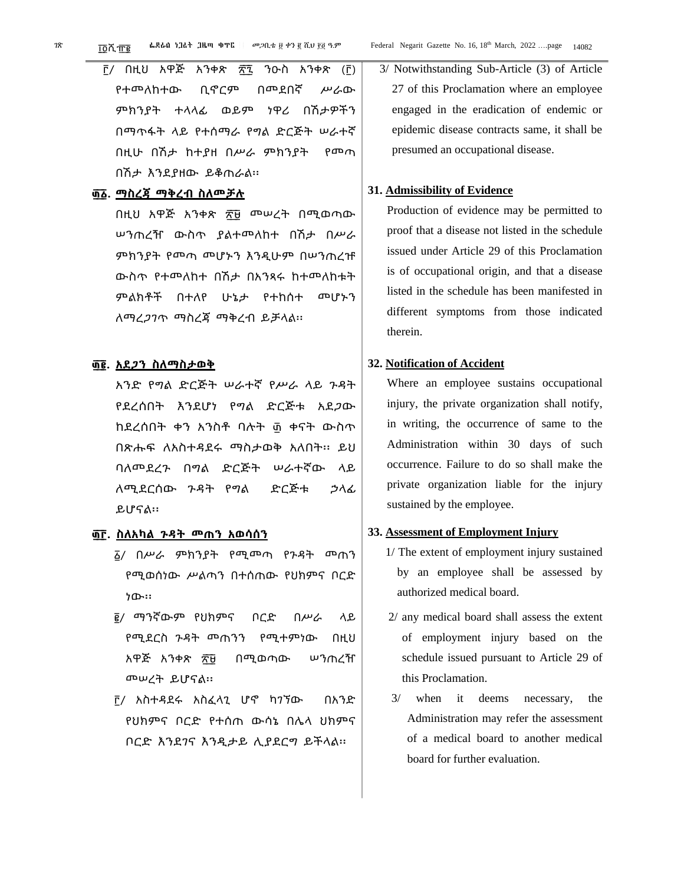- <u>ቮ</u>/ በዚህ አዋጅ አንቀጽ ፳፯ ንዑስ አንቀጽ (፫) የተመለከተው ቢኖርም በመደበኛ ሥራው ምክንያት ተላላፊ ወይም ነዋሪ በሽታዎችን በማጥፋት ላይ የተሰማራ የግል ድርጅት ሠራተኛ በዚሁ በሽታ ከተያዘ በሥራ ምክንያት የመጣ በሽታ እንደያዘው ይቆጠራል፡፡
- **፴ ፩. ማስረጃ ማቅረብ ስለመቻሉ**

በዚህ አዋጅ አንቀጽ ፳፱ መሠረት በሚወጣው ሠንጠረዥ ውስጥ ያልተመለከተ በሽታ በሥራ ምክንያት የመጣ መሆኑን እንዲሁም በሠንጠረዡ ውስጥ የተመለከተ በሽታ በአንጻሩ ከተመለከቱት ምልክቶች በተለየ ሁኔታ የተከሰተ መሆኑን ለማረጋገጥ ማስረጃ ማቅረብ ይቻላል፡፡

#### **፴ ፪. አደጋን ስለማስታወቅ**

አንድ የግል ድርጅት ሠራተኛ የሥራ ላይ ጉዳት የደረሰበት እንደሆነ የግል ድርጅቱ አደጋው ከደረሰበት ቀን አንስቶ ባሉት ፴ ቀናት ውስጥ በጽሑፍ ለአስተዳደሩ ማስታወቅ አለበት፡፡ ይህ ባለመደረጉ በግል ድርጅት ሠራተኛው ላይ ለሚደርሰው ጉዳት የግል ድርጅቱ ኃላፊ ይሆናል፡፡

#### **፴ ፫. ስለአካል ጉዳት መጠን አወሳሰን**

- ፩/ በሥራ ምክንያት የሚመጣ የጉዳት መጠን የሚወሰነው ሥልጣን በተሰጠው የህክምና ቦርድ ነው፡፡
- ፪/ ማንኛውም የህክምና ቦርድ በሥራ ላይ የሚደርስ ጉዳት መጠንን የሚተምነው በዚህ አዋጅ አንቀጽ ፳፱ በሚወጣው ሠንጠረዥ መሠረት ይሆናል፡፡
- ፫/ አስተዳደሩ አስፈላጊ ሆኖ ካገኘው በአንድ የህክምና ቦርድ የተሰጠ ውሳኔ በሌላ ህክምና ቦርድ እንደገና እንዲታይ ሊያደርግ ይችላል፡፡

3/ Notwithstanding Sub-Article (3) of Article 27 of this Proclamation where an employee engaged in the eradication of endemic or

epidemic disease contracts same, it shall be presumed an occupational disease.

#### **31. Admissibility of Evidence**

Production of evidence may be permitted to proof that a disease not listed in the schedule issued under Article 29 of this Proclamation is of occupational origin, and that a disease listed in the schedule has been manifested in different symptoms from those indicated therein.

#### **32. Notification of Accident**

Where an employee sustains occupational injury, the private organization shall notify, in writing, the occurrence of same to the Administration within 30 days of such occurrence. Failure to do so shall make the private organization liable for the injury sustained by the employee.

#### **33. Assessment of Employment Injury**

- 1/ The extent of employment injury sustained by an employee shall be assessed by authorized medical board.
- 2/ any medical board shall assess the extent of employment injury based on the schedule issued pursuant to Article 29 of this Proclamation.
- 3/ when it deems necessary, the Administration may refer the assessment of a medical board to another medical board for further evaluation.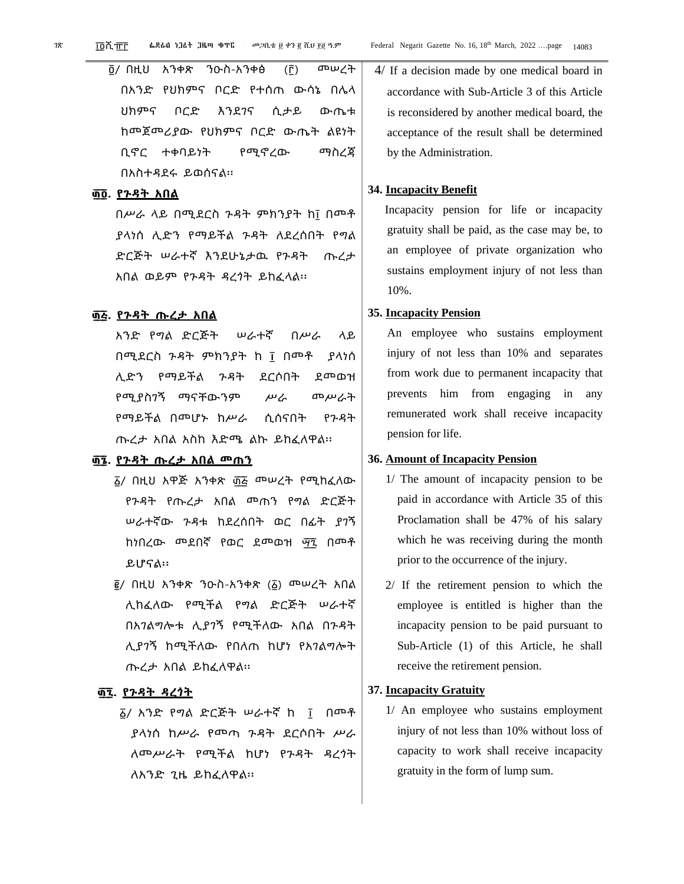፬/ በዚህ አንቀጽ ንዑስ-አንቀፅ (፫) መሠረት በአንድ የህክምና ቦርድ የተሰጠ ውሳኔ በሌላ ህክምና ቦርድ እንደገና ሲታይ ውጤቱ ከመጀመሪያው የህክምና ቦርድ ውጤት ልዩነት ቢኖር ተቀባይነት የሚኖረው ማስረጃ በአስተዳደሩ ይወሰናል፡፡

#### **፴ ፬. የጉዳት አበል**

በሥራ ላይ በሚደርስ ጉዳት ምክንያት ከ፲ በመቶ ያላነሰ ሊድን የማይችል ጉዳት ለደረሰበት የግል ድርጅት ሠራተኛ እንደሁኔታዉ የጉዳት ጡረታ አበል ወይም የጉዳት ዳረጎት ይከፈላል፡፡

#### **፴ ፭. የጉዳት ጡረታ አበል**

አንድ የግል ድርጅት ሠራተኛ በሥራ ላይ በሚደርስ ጉዳት ምክንያት ከ ፲ በመቶ ያላነሰ ሊድን የማይችል ጉዳት ደርሶበት ደመወዝ የሚያስገኝ ማናቸውንም ሥራ መሥራት የማይችል በመሆኑ ከሥራ ሲሰናበት የጉዳት ጡረታ አበል አስከ እድሜ ልኩ ይከፈለዋል፡፡

### **፴ ፮. የጉዳት ጡረታ አበል መጠን**

- ፩/ በዚህ አዋጅ አንቀጽ ፴፭ **መሠረት የሚከፈለው** የጉዳት የጡረታ አበል መጠን የግል ድርጅት ሠራተኛው ጉዳቱ ከደረሰበት ወር በፊት ያገኝ ከነበረው መደበኛ የወር ደመወዝ ማኚ በመቶ ይሆናል፡፡
- ፪/ በዚህ አንቀጽ ንዑስ-አንቀጽ (፩) መሠረት አበል ሊከፈለው የሚችል የግል ድርጅት ሠራተኛ በአገልግሎቱ ሊያገኝ የሚችለው አበል በጉዳት ሊያገኝ ከሚችለው የበለጠ ከሆነ የአገልግሎት ጡረታ አበል ይከፈለዋል፡፡

#### **፴ ፯. የጉዳት ዳረጎት**

፩/ አንድ የግል ድርጅት ሠራተኛ ከ ፲ በመቶ ያላነሰ ከሥራ የመጣ ጉዳት ደርሶበት ሥራ ለመሥራት የሚችል ከሆነ የጉዳት ዳረጎት ለአንድ ጊዜ ይከፈለዋል፡፡

#### **34. Incapacity Benefit**

Incapacity pension for life or incapacity gratuity shall be paid, as the case may be, to an employee of private organization who sustains employment injury of not less than 10%.

#### **35. Incapacity Pension**

An employee who sustains employment injury of not less than 10% and separates from work due to permanent incapacity that prevents him from engaging in any remunerated work shall receive incapacity pension for life.

#### **36. Amount of Incapacity Pension**

- 1/ The amount of incapacity pension to be paid in accordance with Article 35 of this Proclamation shall be 47% of his salary which he was receiving during the month prior to the occurrence of the injury.
- 2/ If the retirement pension to which the employee is entitled is higher than the incapacity pension to be paid pursuant to Sub-Article (1) of this Article, he shall receive the retirement pension.

#### **37. Incapacity Gratuity**

1/ An employee who sustains employment injury of not less than 10% without loss of capacity to work shall receive incapacity gratuity in the form of lump sum.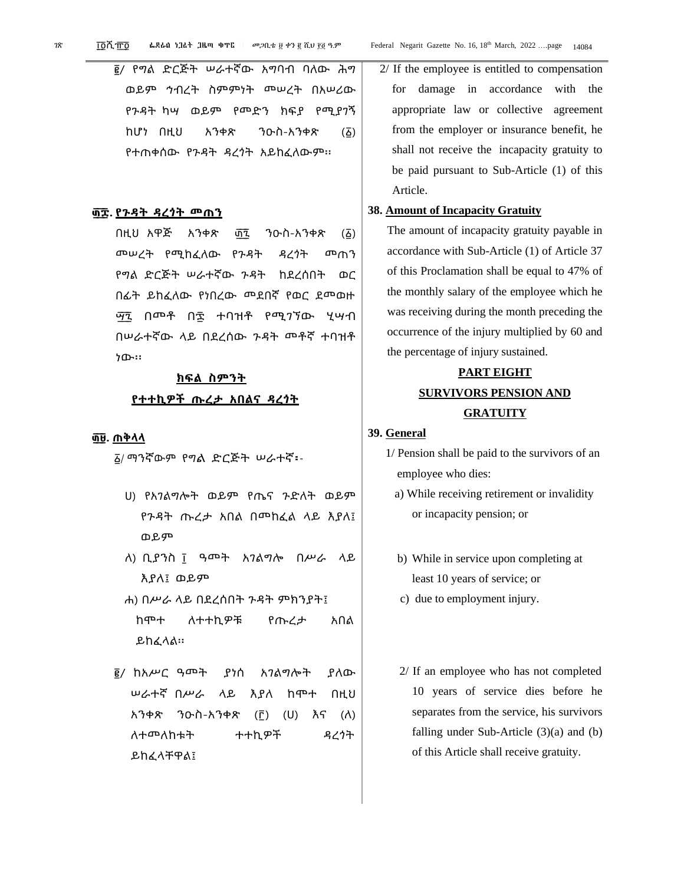፪/ የግል ድርጅት ሠራተኛው አግባብ ባለው ሕግ ወይም ኅብረት ስምምነት መሠረት በአሠሪው የጉዳት ካሣ ወይም የመድን ክፍያ የሚያገኝ ከሆነ በዚህ አንቀጽ ንዑስ-አንቀጽ (፩) የተጠቀሰው የጉዳት ዳረጎት አይከፈለውም፡፡

#### **፴ ፰. የጉዳት ዳረጎት መጠን**

በዚህ አዋጅ አንቀጽ ፴፯ ንዑስ-አንቀጽ (፩) መሠረት የሚከፈለው የጉዳት ዳረጎት መጠን የግል ድርጅት ሠራተኛው ጉዳት ከደረሰበት ወር በፊት ይከፈለው የነበረው መደበኛ የወር ደመወዙ ማኚ በመቶ በ፰ ተባዝቶ የሚገኘው ሂሣብ በሠራተኛው ላይ በደረሰው ጉዳት መቶኛ ተባዝቶ ነው፡፡

#### **ክፍል ስምንት**

#### **የተተኪዎች ጡረታ አበልና ዳረጎት**

#### **፴ ፱. ጠቅላላ**

<sup>፩</sup>/ ማንኛውም የግል ድርጅት ሠራተኛ፡-

- ሀ) የአገልግሎት ወይም የጤና ጉድለት ወይም የጉዳት ጡረታ አበል በመከፈል ላይ እያለ፤ ወይም
- ለ) ቢያንስ ፲ ዓመት አገልግሎ በሥራ ላይ እያለ፤ ወይም
- ሐ) በሥራ ላይ በደረሰበት ጉዳት ምክንያት፤ ከሞተ ለተተኪዎቹ የጡረታ አበል ይከፈላል፡፡
- ፪/ ከአሥር ዓመት ያነሰ አገልግሎት ያለው ሠራተኛ በሥራ ላይ እያለ ከሞተ በዚህ አንቀጽ ንዑስ-አንቀጽ (፫) (ሀ) እና (ለ) ለተመለከቱት ተተኪዎች ዳረጎት ይከፈላቸዋል፤

2/ If the employee is entitled to compensation for damage in accordance with the appropriate law or collective agreement from the employer or insurance benefit, he shall not receive the incapacity gratuity to be paid pursuant to Sub-Article (1) of this Article.

#### **38. Amount of Incapacity Gratuity**

The amount of incapacity gratuity payable in accordance with Sub-Article (1) of Article 37 of this Proclamation shall be equal to 47% of the monthly salary of the employee which he was receiving during the month preceding the occurrence of the injury multiplied by 60 and the percentage of injury sustained.

### **PART EIGHT SURVIVORS PENSION AND GRATUITY**

#### **39. General**

- 1/ Pension shall be paid to the survivors of an employee who dies:
	- a) While receiving retirement or invalidity or incapacity pension; or
	- b) While in service upon completing at least 10 years of service; or
	- c) due to employment injury.
	- 2/ If an employee who has not completed 10 years of service dies before he separates from the service, his survivors falling under Sub-Article (3)(a) and (b) of this Article shall receive gratuity.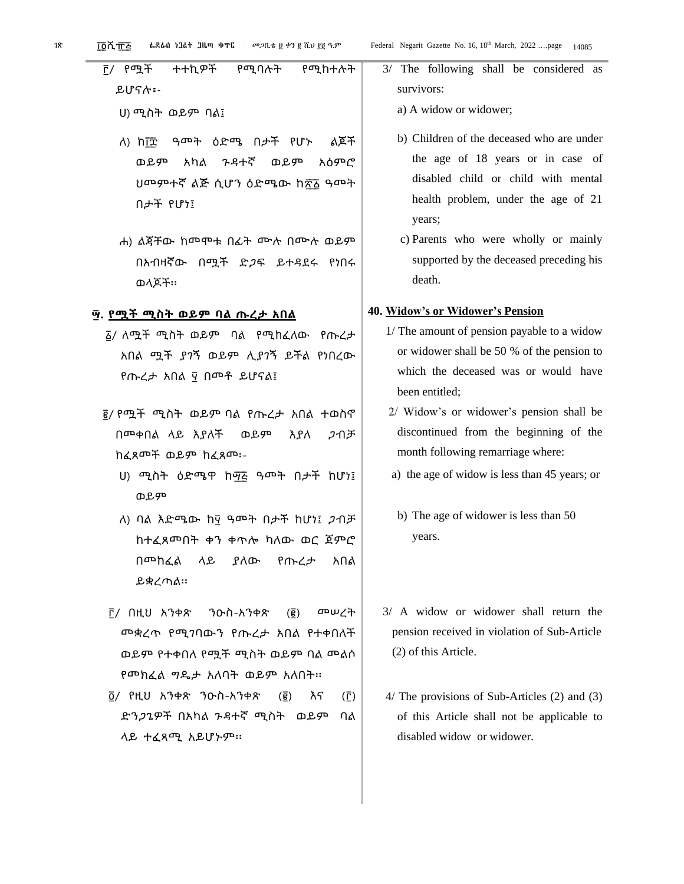፫/ የሟች ተተኪዎች የሚባሉት የሚከተሉት ይሆናሉ፡- ሀ) ሚስት ወይም ባል፤

- ለ) ከ፲፰ ዓመት ዕድሜ በታች የሆኑ ልጆች ወይም አካል ጉዳተኛ ወይም አዕምሮ ህመምተኛ ልጅ ሲሆን ዕድሜው ከ፳፩ ዓመት በታች የሆነ፤
- ሐ) ልጃቸው ከመሞቱ በፊት ሙሉ በሙሉ ወይም በአብዛኛው በሟች ድጋፍ ይተዳደሩ የነበሩ ወላጆች፡፡

#### **፵. የሟች ሚስት ወይም ባል ጡረታ አበል**

- ፩/ ለሟች ሚስት ወይም ባል የሚከፈለው የጡረታ አበል ሟች ያገኝ ወይም ሊያገኝ ይችል የነበረው የጡረታ አበል ፶ በመቶ ይሆናል፤
- ፪/ የሟች ሚስት ወይም ባል የጡረታ አበል ተወስኖ በመቀበል ላይ እያለች ወይም እያለ ጋብቻ ከፈጸመች ወይም ከፈጸመ፡-
	- ሀ) ሚስት ዕድሜዋ ከማ፭ ዓመት በታች ከሆነ፤ ወይም
	- ለ) ባል እድሜው ከ፶ ዓመት በታች ከሆነ፤ ጋብቻ ከተፈጸመበት ቀን ቀጥሎ ካለው ወር ጀምሮ በመከፈል ላይ ያለው የጡረታ አበል ይቋረጣል፡፡
- ፫/ በዚህ አንቀጽ ንዑስ-አንቀጽ (፪) መሠረት መቋረጥ የሚገባውን የጡረታ አበል የተቀበለች ወይም የተቀበለ የሟች ሚስት ወይም ባል መልሶ የመክፈል ግዴታ አለባት ወይም አለበት፡፡
- ፬/ የዚህ አንቀጽ ንዑስ-አንቀጽ (፪) እና (፫) ድንጋጌዎች በአካል ጉዳተኛ ሚስት ወይም ባል ላይ ተፈጻሚ አይሆኑም፡፡
- 3/ The following shall be considered as survivors:
	- a) A widow or widower;
	- b) Children of the deceased who are under the age of 18 years or in case of disabled child or child with mental health problem, under the age of 21 years;
	- c) Parents who were wholly or mainly supported by the deceased preceding his death.

#### **40. Widow's or Widower's Pension**

- 1/ The amount of pension payable to a widow or widower shall be 50 % of the pension to which the deceased was or would have been entitled;
- 2/ Widow's or widower's pension shall be discontinued from the beginning of the month following remarriage where:
- a) the age of widow is less than 45 years; or
- b) The age of widower is less than 50 years.
- 3/ A widow or widower shall return the pension received in violation of Sub-Article (2) of this Article.
- 4/ The provisions of Sub-Articles (2) and (3) of this Article shall not be applicable to disabled widow or widower.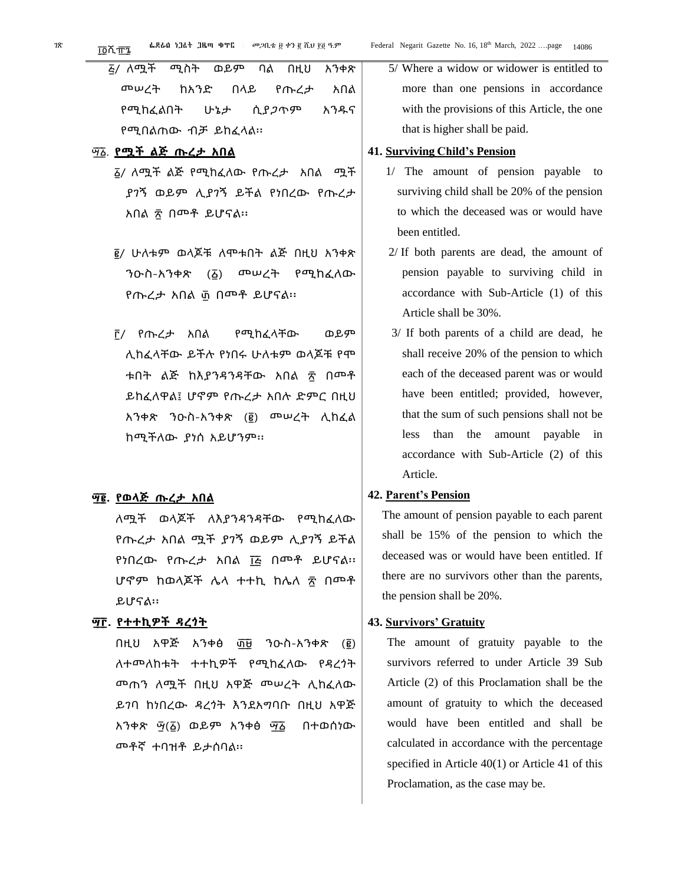| <i>ā/</i> ለሟች ሚስት ወይም ባል በዚህ አንቀጽ |  |  |  |
|-----------------------------------|--|--|--|
| <u> መሠረት ከአንድ በላይ የጡረታ አበል</u>    |  |  |  |
| የሚከፈልበት ሁኔታ ሲያ <i>ጋ</i> ጥም አንዱና   |  |  |  |
| የሚበልጠው ብቻ ይከፈላል።                  |  |  |  |

#### ፵ ፩. **የሟች ልጅ ጡረታ አበል**

- ፩/ ለሟች ልጅ የሚከፈለው የጡረታ አበል ሟች ያገኝ ወይም ሊያገኝ ይችል የነበረው የጡረታ አበል ፳ በመቶ ይሆናል፡፡
- ፪/ ሁለቱም ወላጆቹ ለሞቱበት ልጅ በዚህ አንቀጽ ንዑስ-አንቀጽ (፩) መሠረት የሚከፈለው የጡረታ አበል ፴ በመቶ ይሆናል፡፡
- ፫/ የጡረታ አበል የሚከፈላቸው ወይም ሊከፈላቸው ይችሉ የነበሩ ሁለቱም ወላጆቹ የሞ ቱበት ልጅ ከእያንዳንዳቸው አበል ፳ በመቶ ይከፈለዋል፤ ሆኖም የጡረታ አበሉ ድምር በዚህ አንቀጽ ንዑስ-አንቀጽ (፪) መሠረት ሊከፈል ከሚችለው ያነሰ አይሆንም፡፡

#### **፵ ፪. የወላጅ ጡረታ አበል**

ለሟች ወላጆች ለእያንዳንዳቸው የሚከፈለው የጡረታ አበል ሟች ያገኝ ወይም ሊያገኝ ይችል የነበረው የጡረታ አበል ፲፭ በመቶ ይሆናል፡፡ ሆኖም ከወላጆች ሌላ ተተኪ ከሌለ ፳ በመቶ ይሆናል፡፡

#### **፵ ፫. የተተኪዎች ዳረጎት**

በዚህ አዋጅ አንቀፅ ፴፱ ንዑስ-አንቀጽ (፪) ለተመለከቱት ተተኪዎች የሚከፈለው የዳረጎት መጠን ለሟች በዚህ አዋጅ መሠረት ሊከፈለው ይገባ ከነበረው ዳረጎት እንደአግባቡ በዚህ አዋጅ አንቀጽ ፵(፩) ወይም አንቀፅ ፵ ፩ በተወሰነው መቶኛ ተባዝቶ ይታሰባል፡፡

5/ Where a widow or widower is entitled to more than one pensions in accordance with the provisions of this Article, the one that is higher shall be paid.

#### **41. Surviving Child's Pension**

- 1/ The amount of pension payable to surviving child shall be 20% of the pension to which the deceased was or would have been entitled.
- 2/ If both parents are dead, the amount of pension payable to surviving child in accordance with Sub-Article (1) of this Article shall be 30%.
- 3/ If both parents of a child are dead, he shall receive 20% of the pension to which each of the deceased parent was or would have been entitled; provided, however, that the sum of such pensions shall not be less than the amount payable in accordance with Sub-Article (2) of this Article.

#### **42. Parent's Pension**

The amount of pension payable to each parent shall be 15% of the pension to which the deceased was or would have been entitled. If there are no survivors other than the parents, the pension shall be 20%.

#### **43. Survivors' Gratuity**

The amount of gratuity payable to the survivors referred to under Article 39 Sub Article (2) of this Proclamation shall be the amount of gratuity to which the deceased would have been entitled and shall be calculated in accordance with the percentage specified in Article 40(1) or Article 41 of this Proclamation, as the case may be.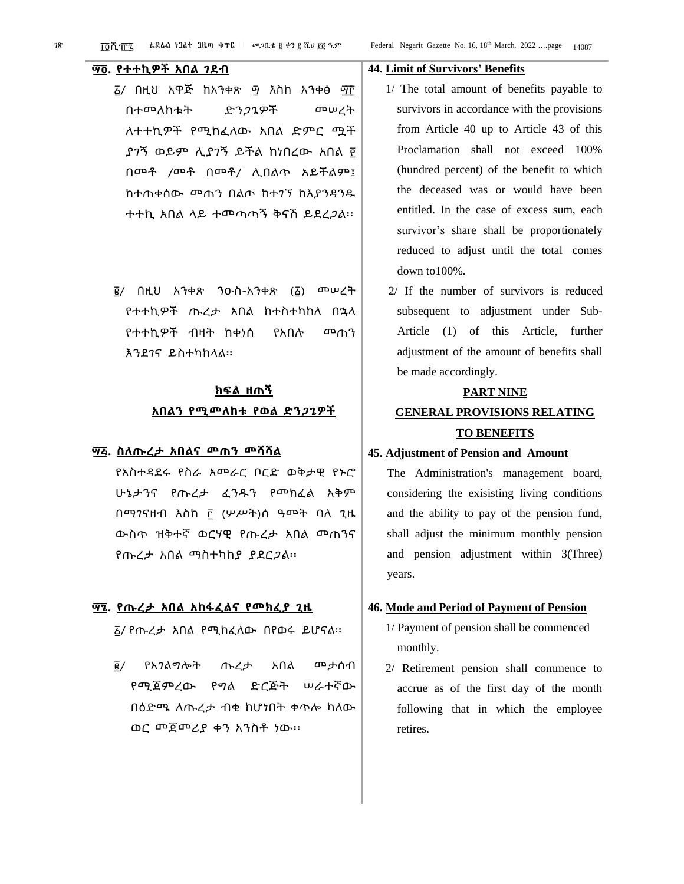### **፵ ፬. የተተኪዎች አበል ገደብ**

- ፩/ በዚህ አዋጅ ከአንቀጽ <sub>ማ</sub> እስከ አንቀፅ <sub>ማ</sub> በተመለከቱት ድንጋጌዎች መሠረት ለተተኪዎች የሚከፈለው አበል ድምር ሟች ያገኝ ወይም ሊያገኝ ይችል ከነበረው አበል ፻ በመቶ /መቶ በመቶ/ ሊበልጥ አይችልም፤ ከተጠቀሰው መጠን በልጦ ከተገኘ ከእያንዳንዱ ተተኪ አበል ላይ ተመጣጣኝ ቅናሽ ይደረጋል፡፡
- ፪/ በዚህ አንቀጽ ንዑስ-አንቀጽ (፩) መሠረት የተተኪዎች ጡረታ አበል ከተስተካከለ በኋላ የተተኪዎች ብዛት ከቀነሰ የአበሉ መጠን እንደገና ይስተካከላል፡፡

### **ክፍል ዘጠኝ አበልን የሚመለከቱ የወል ድንጋጌዎች**

#### **፵ ፭. ስለጡረታ አበልና መጠን መሻሻል**

የአስተዳደሩ የስራ አመራር ቦርድ ወቅታዊ የኑሮ ሁኔታንና የጡረታ ፈንዱን የመክፈል አቅም በማገናዘብ እስከ ፫ (ሦሥት)ሰ ዓመት ባለ ጊዜ ውስጥ ዝቅተኛ ወርሃዊ የጡረታ አበል መጠንና የጡረታ አበል ማስተካከያ ያደርጋል፡፡

#### **፵ ፮. የጡረታ አበል አከፋፈልና የመክፈያ ጊዜ**

፩/ የጡረታ አበል የሚከፈለው በየወሩ ይሆናል፡፡

፪/ የአገልግሎት ጡረታ አበል መታሰብ የሚጀምረው የግል ድርጅት ሠራተኛው በዕድሜ ለጡረታ ብቁ ከሆነበት ቀጥሎ ካለው ወር መጀመሪያ ቀን አንስቶ ነው፡፡

#### **44. Limit of Survivors' Benefits**

- 1/ The total amount of benefits payable to survivors in accordance with the provisions from Article 40 up to Article 43 of this Proclamation shall not exceed 100% (hundred percent) of the benefit to which the deceased was or would have been entitled. In the case of excess sum, each survivor's share shall be proportionately reduced to adjust until the total comes down to100%.
- 2/ If the number of survivors is reduced subsequent to adjustment under Sub-Article (1) of this Article, further adjustment of the amount of benefits shall be made accordingly.

#### **PART NINE**

### **GENERAL PROVISIONS RELATING TO BENEFITS**

#### **45. Adjustment of Pension and Amount**

The Administration's management board, considering the exisisting living conditions and the ability to pay of the pension fund, shall adjust the minimum monthly pension and pension adjustment within 3(Three) years.

#### **46. Mode and Period of Payment of Pension**

- 1/ Payment of pension shall be commenced monthly.
- 2/ Retirement pension shall commence to accrue as of the first day of the month following that in which the employee retires.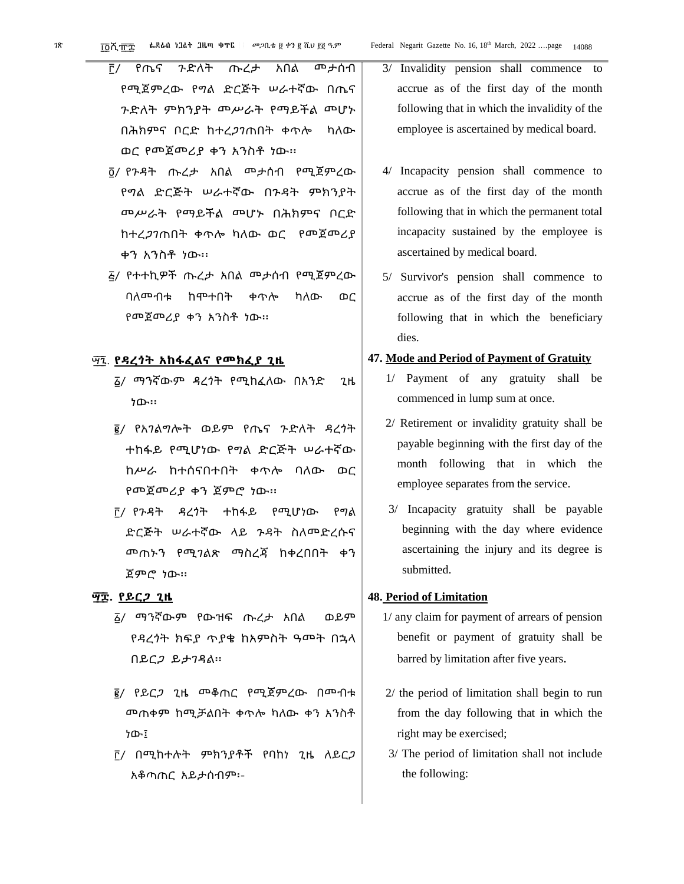- ፫/ የጤና ጉድለት ጡረታ አበል መታሰብ የሚጀምረው የግል ድርጅት ሠራተኛው በጤና ጉድለት ምክንያት መሥራት የማይችል መሆኑ በሕክምና ቦርድ ከተረጋገጠበት ቀጥሎ ካለው ወር የመጀመሪያ ቀን አንስቶ ነው፡፡
- ፬/ የጉዳት ጡረታ አበል መታሰብ የሚጀምረው የግል ድርጅት ሠራተኛው በጉዳት ምክንያት መሥራት የማይችል መሆኑ በሕክምና ቦርድ ከተረጋገጠበት ቀጥሎ ካለው ወር የመጀመሪያ ቀን አንስቶ ነው፡፡
- ፭/ የተተኪዎች ጡረታ አበል መታሰብ የሚጀምረው ባለመብቱ ከሞተበት ቀጥሎ ካለው ወር የመጀመሪያ ቀን አንስቶ ነው፡፡

#### ፵ ፯. **የዳረጎት አከፋፈልና የመክፈያ ጊዜ**

- ፩/ ማንኛውም ዳረጎት የሚከፈለው በአንድ ጊዜ ነው፡፡
- ፪/ የአገልግሎት ወይም የጤና ጉድለት ዳረጎት ተከፋይ የሚሆነው የግል ድርጅት ሠራተኛው ከሥራ ከተሰናበተበት ቀጥሎ ባለው ወር የመጀመሪያ ቀን ጀምሮ ነው፡፡
- ፫/ የጉዳት ዳረጎት ተከፋይ የሚሆነው የግል ድርጅት ሠራተኛው ላይ ጉዳት ስለመድረሱና መጠኑን የሚገልጽ ማስረጃ ከቀረበበት ቀን ጀምሮ ነው፡፡

#### **፵ ፰. የይርጋ ጊዜ**

- ፩/ ማንኛውም የውዝፍ ጡረታ አበል ወይም የዳረጎት ክፍያ ጥያቄ ከአምስት ዓመት በኋላ በይርጋ ይታገዳል፡፡
- ፪/ የይርጋ ጊዜ መቆጠር የሚጀምረው በመብቱ መጠቀም ከሚቻልበት ቀጥሎ ካለው ቀን አንስቶ ነው፤
- ፫/ በሚከተሉት ምክንያቶች የባከነ ጊዜ ለይርጋ አቆጣጠር አይታሰብም፡-
- 3/ Invalidity pension shall commence to accrue as of the first day of the month following that in which the invalidity of the employee is ascertained by medical board.
- 4/ Incapacity pension shall commence to accrue as of the first day of the month following that in which the permanent total incapacity sustained by the employee is ascertained by medical board.
- 5/ Survivor's pension shall commence to accrue as of the first day of the month following that in which the beneficiary dies.

#### **47. Mode and Period of Payment of Gratuity**

- 1/ Payment of any gratuity shall be commenced in lump sum at once.
- 2/ Retirement or invalidity gratuity shall be payable beginning with the first day of the month following that in which the employee separates from the service.
- 3/ Incapacity gratuity shall be payable beginning with the day where evidence ascertaining the injury and its degree is submitted.

#### **48. Period of Limitation**

- 1/ any claim for payment of arrears of pension benefit or payment of gratuity shall be barred by limitation after five years.
- 2/ the period of limitation shall begin to run from the day following that in which the right may be exercised;
- 3/ The period of limitation shall not include the following: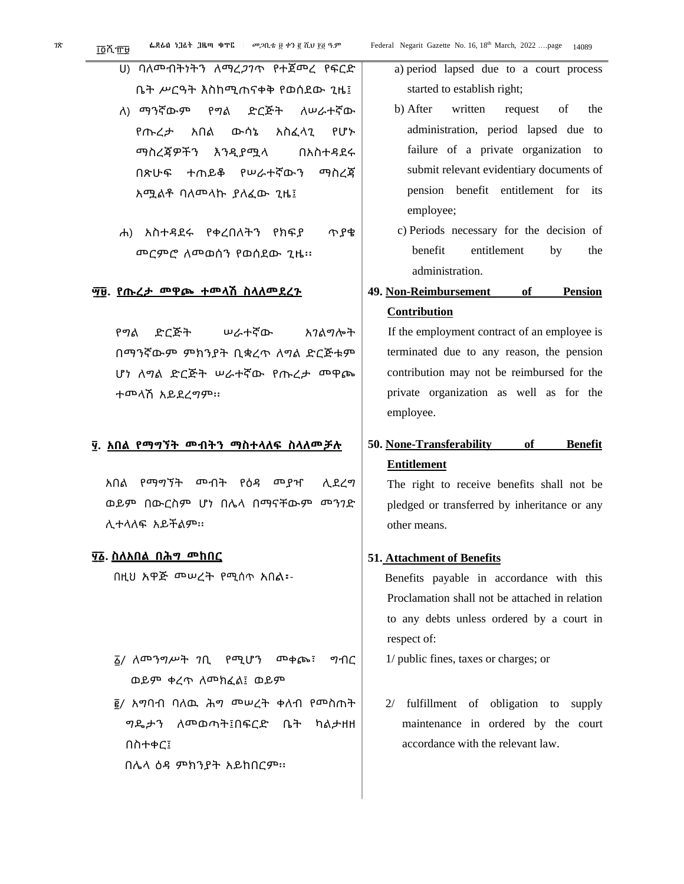ሀ) ባለመብትነትን ለማረጋገጥ የተጀመረ የፍርድ ቤት ሥርዓት እስከሚጠናቀቅ የወሰደው ጊዜ፤

- ለ) ማንኛውም የግል ድርጅት ለሠራተኛው የጡረታ አበል ውሳኔ አስፈላጊ የሆኑ ማስረጃዎችን እንዲያሟላ በአስተዳደሩ በጽሁፍ ተጠይቆ የሠራተኛውን ማስረጃ አሟልቶ ባለመላኩ ያለፈው ጊዜ፤
- ሐ) አስተዳደሩ የቀረበለትን የክፍያ ጥያቄ መርምሮ ለመወሰን የወሰደው ጊዜ፡፡

#### **፵ ፱. የጡረታ መዋጮ ተመላሽ ስላለመደረጉ**

የግል ድርጅት ሠራተኛው አገልግሎት በማንኛውም ምክንያት ቢቋረጥ ለግል ድርጅቱም ሆነ ለግል ድርጅት ሠራተኛው የጡረታ መዋጮ ተመላሽ አይደረግም፡፡

#### **፶. አበል የማግኘት መብትን ማስተላለፍ ስላለመቻሉ**

አበል የማግኘት መብት የዕዳ መያዣ ሊደረግ ወይም በውርስም ሆነ በሌላ በማናቸውም መንገድ ሊተላለፍ አይችልም፡፡

#### **፶ ፩. ስለአበል በሕግ መከበር**

በዚህ አዋጅ መሠረት የሚሰጥ አበል፡-

፩/ ለመንግሥት ገቢ የሚሆን መቀጮ፣ ግብር ወይም ቀረጥ ለመክፈል፤ ወይም

፪/ አግባብ ባለዉ ሕግ መሠረት ቀለብ የመስጠት ግዴታን ለመወጣት፤በፍርድ ቤት ካልታዘዘ በስተቀር፤

በሌላ ዕዳ ምክንያት አይከበርም፡፡

- a) period lapsed due to a court process started to establish right;
- b) After written request of the administration, period lapsed due to failure of a private organization to submit relevant evidentiary documents of pension benefit entitlement for its employee;
- c) Periods necessary for the decision of benefit entitlement by the administration.
- **49. Non-Reimbursement of Pension Contribution**

If the employment contract of an employee is terminated due to any reason, the pension contribution may not be reimbursed for the private organization as well as for the employee.

### **50. None-Transferability of Benefit Entitlement**

The right to receive benefits shall not be pledged or transferred by inheritance or any other means.

### **51. Attachment of Benefits**

Benefits payable in accordance with this Proclamation shall not be attached in relation to any debts unless ordered by a court in respect of:

1/ public fines, taxes or charges; or

2/ fulfillment of obligation to supply maintenance in ordered by the court accordance with the relevant law.

ገጽ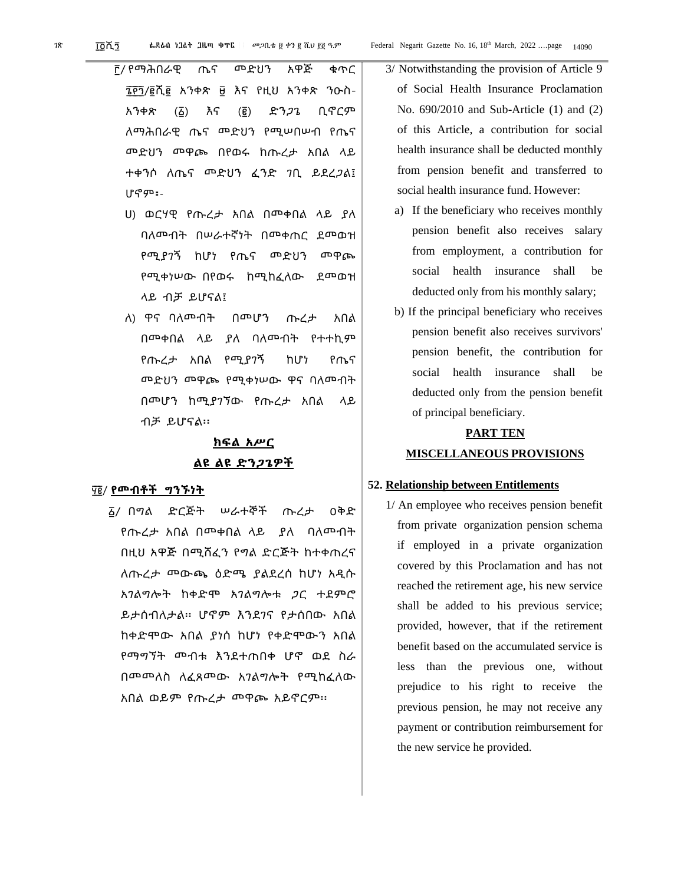፫/ የማሕበራዊ ጤና መድህን አዋጅ ቁጥር ፮ ፻ ፺/፪ሺ፪ አንቀጽ ፱ እና የዚህ አንቀጽ ንዑስ-አንቀጽ (፩) እና (፪) ድንጋጌ ቢኖርም ለማሕበራዊ ጤና መድህን የሚሠበሠብ የጤና መድህን መዋጮ በየወሩ ከጡረታ አበል ላይ ተቀንሶ ለጤና መድህን ፈንድ ገቢ ይደረጋል፤ ሆኖም፡-

- ሀ) ወርሃዊ የጡረታ አበል በመቀበል ላይ ያለ ባለመብት በሠራተኛነት በመቀጠር ደመወዝ የሚያገኝ ከሆነ የጤና መድህን መዋጮ የሚቀነሠው በየወሩ ከሚከፈለው ደመወዝ ላይ ብቻ ይሆናል፤
- ለ) ዋና ባለመብት በመሆን ጡረታ አበል በመቀበል ላይ ያለ ባለመብት የተተኪም የጡረታ አበል የሚያገኝ ከሆነ የጤና መድህን መዋጮ የሚቀነሠው ዋና ባለመብት በመሆን ከሚያገኘው የጡረታ አበል ላይ ብቻ ይሆናል፡፡

### **ክፍል አሥር ልዩ ልዩ ድንጋጌዎች**

#### ፶ ፪/ **የመብቶች ግንኙነት**

፩/ በግል ድርጅት ሠራተኞች ጡረታ ዐቅድ የጡረታ አበል በመቀበል ላይ ያለ ባለመብት በዚህ አዋጅ በሚሸፈን የግል ድርጅት ከተቀጠረና ለጡረታ መውጫ ዕድሜ ያልደረሰ ከሆነ አዲሱ አገልግሎት ከቀድሞ አገልግሎቱ ጋር ተደምሮ ይታሰብለታል፡፡ ሆኖም እንደገና የታሰበው አበል ከቀድሞው አበል ያነሰ ከሆነ የቀድሞውን አበል የማግኘት መብቱ እንደተጠበቀ ሆኖ ወደ ስራ በመመለስ ለፈጸመው አገልግሎት የሚከፈለው አበል ወይም የጡረታ መዋጮ አይኖርም፡፡

- 3/ Notwithstanding the provision of Article 9 of Social Health Insurance Proclamation No. 690/2010 and Sub-Article (1) and (2) of this Article, a contribution for social health insurance shall be deducted monthly from pension benefit and transferred to social health insurance fund. However:
- a) If the beneficiary who receives monthly pension benefit also receives salary from employment, a contribution for social health insurance shall be deducted only from his monthly salary;
- b) If the principal beneficiary who receives pension benefit also receives survivors' pension benefit, the contribution for social health insurance shall be deducted only from the pension benefit of principal beneficiary.

### **PART TEN MISCELLANEOUS PROVISIONS**

#### **52. Relationship between Entitlements**

1/ An employee who receives pension benefit from private organization pension schema if employed in a private organization covered by this Proclamation and has not reached the retirement age, his new service shall be added to his previous service; provided, however, that if the retirement benefit based on the accumulated service is less than the previous one, without prejudice to his right to receive the previous pension, he may not receive any payment or contribution reimbursement for the new service he provided.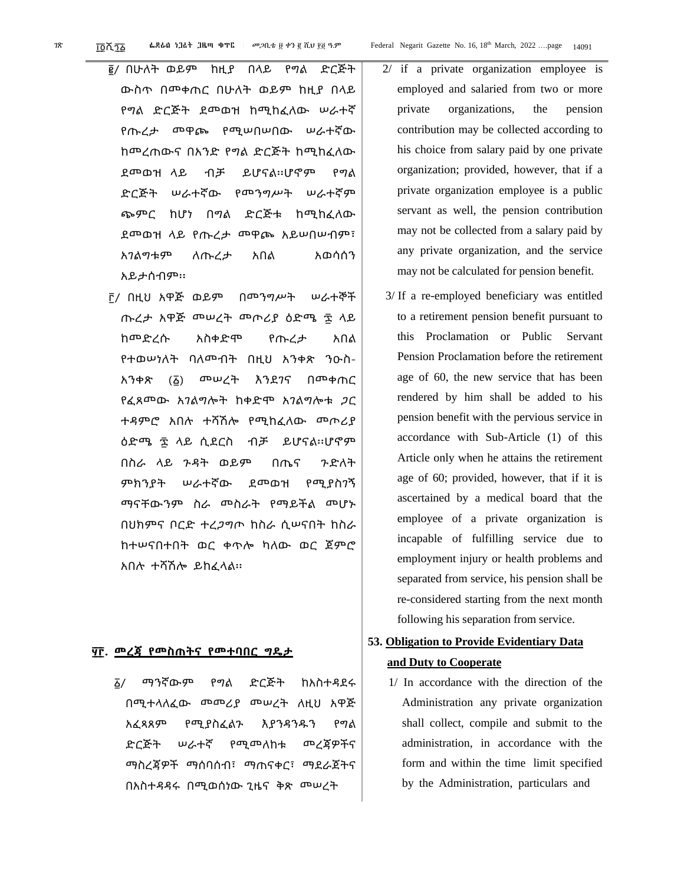- ፪/ በሁለት ወይም ከዚያ በላይ የግል ድርጅት ውስጥ በመቀጠር በሁለት ወይም ከዚያ በላይ የግል ድርጅት ደመወዝ ከሚከፈለው ሠራተኛ የጡረታ መዋጮ የሚሠበሠበው ሠራተኛው ከመረጠውና በአንድ የግል ድርጅት ከሚከፈለው ደመወዝ ላይ ብቻ ይሆናል፡፡ሆኖም የግል ድርጅት ሠራተኛው የመንግሥት ሠራተኛም ጭምር ከሆነ በግል ድርጅቱ ከሚከፈለው ደመወዝ ላይ የጡረታ መዋጮ አይሠበሠብም፣ አገልግቱም ለጡረታ አበል አወሳሰን አይታሰብም፡፡
- ፫/ በዚህ አዋጅ ወይም በመንግሥት ሠራተኞች ጡረታ አዋጅ መሠረት መጦሪያ ዕድሜ ፷ ላይ ከመድረሱ አስቀድሞ የጡረታ አበል የተወሠነለት ባለመብት በዚህ አንቀጽ ንዑስ-አንቀጽ (፩) መሠረት እንደገና በመቀጠር የፈጸመው አገልግሎት ከቀድሞ አገልግሎቱ ጋር ተዳምሮ አበሉ ተሻሽሎ የሚከፈለው መጦሪያ ዕድሜ ፷ ላይ ሲደርስ ብቻ ይሆናል፡፡ሆኖም በስራ ላይ ጉዳት ወይም በጤና ጉድለት ምክንያት ሠራተኛው ደመወዝ የሚያስገኝ ማናቸውንም ስራ መስራት የማይችል መሆኑ በህክምና ቦርድ ተረጋግጦ ከስራ ሲሠናበት ከስራ ከተሠናበተበት ወር ቀጥሎ ካለው ወር ጀምሮ አበሉ ተሻሽሎ ይከፈላል፡፡

#### **፶ ፫. መረጃ የመስጠትና የመተባበር ግዴታ**

፩/ ማንኛውም የግል ድርጅት ከአስተዳደሩ በሚተላለፈው መመሪያ መሠረት ለዚህ አዋጅ አፈጻጸም የሚያስፈልጉ እያንዳንዱን የግል ድርጅት ሠራተኛ የሚመለከቱ መረጃዎችና ማስረጃዎች ማሰባሰብ፣ ማጠናቀር፣ ማደራጀትና በአስተዳዳሩ በሚወሰነው ጊዜና ቅጽ መሠረት

- 2/ if a private organization employee is employed and salaried from two or more private organizations, the pension contribution may be collected according to his choice from salary paid by one private organization; provided, however, that if a private organization employee is a public servant as well, the pension contribution may not be collected from a salary paid by any private organization, and the service may not be calculated for pension benefit.
- 3/ If a re-employed beneficiary was entitled to a retirement pension benefit pursuant to this Proclamation or Public Servant Pension Proclamation before the retirement age of 60, the new service that has been rendered by him shall be added to his pension benefit with the pervious service in accordance with Sub-Article (1) of this Article only when he attains the retirement age of 60; provided, however, that if it is ascertained by a medical board that the employee of a private organization is incapable of fulfilling service due to employment injury or health problems and separated from service, his pension shall be re-considered starting from the next month following his separation from service.

### **53. Obligation to Provide Evidentiary Data and Duty to Cooperate**

1/ In accordance with the direction of the Administration any private organization shall collect, compile and submit to the administration, in accordance with the form and within the time limit specified by the Administration, particulars and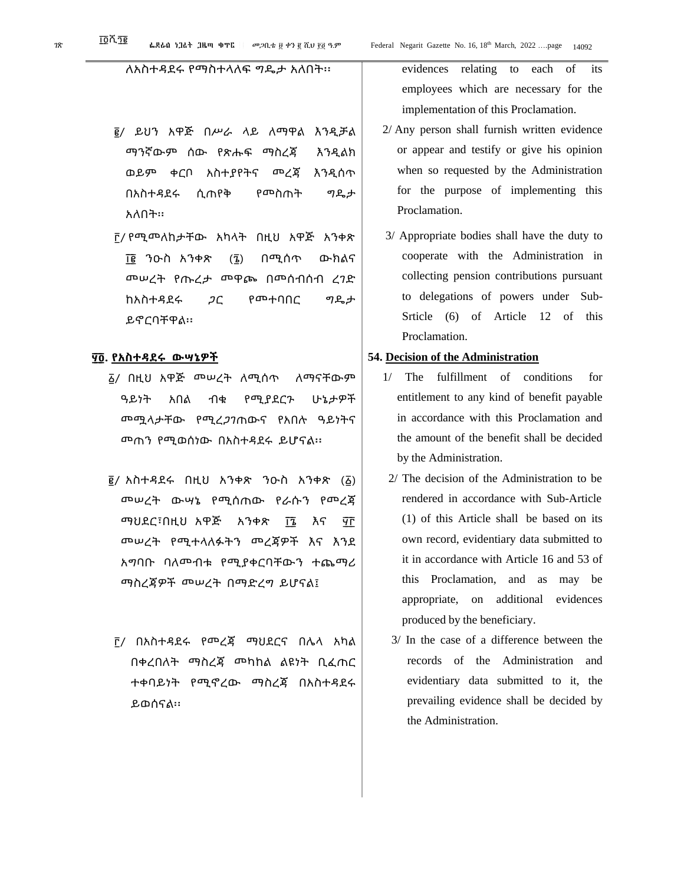- ፪/ ይህን አዋጅ በሥራ ላይ ለማዋል እንዲቻል ማንኛውም ሰው የጽሑፍ ማስረጃ እንዲልክ ወይም ቀርቦ አስተያየትና መረጃ እንዲሰጥ በአስተዳደሩ ሲጠየቅ የመስጠት ግዴታ አለበት፡፡
- ፫/ የሚመለከታቸው አካላት በዚህ አዋጅ አንቀጽ ፲ ፪ ንዑስ አንቀጽ (፮) በሚሰጥ ውክልና መሠረት የጡረታ መዋጮ በመሰብሰብ ረገድ ከአስተዳደሩ ጋር የመተባበር ግዴታ ይኖርባቸዋል፡፡

#### **፶ ፬. የአስተዳደሩ ውሣኔዎች**

- ፩/ በዚህ አዋጅ መሠረት ለሚሰጥ ለማናቸውም ዓይነት አበል ብቁ የሚያደርጉ ሁኔታዎች መሟላታቸው የሚረጋገጠውና የአበሉ ዓይነትና መጠን የሚወሰነው በአስተዳደሩ ይሆናል፡፡
- ፪/ አስተዳደሩ በዚህ አንቀጽ ንዑስ አንቀጽ (፩) መሠረት ውሣኔ የሚሰጠው የራሱን የመረጃ ማህደር፣በዚህ አዋጅ አንቀጽ ፲፮ እና ፶፫ መሠረት የሚተላለፉትን መረጃዎች እና እንደ አግባቡ ባለመብቱ የሚያቀርባቸውን ተጨማሪ ማስረጃዎች መሠረት በማድረግ ይሆናል፤
- ፫/ በአስተዳደሩ የመረጃ ማህደርና በሌላ አካል በቀረበለት ማስረጃ መካከል ልዩነት ቢፈጠር ተቀባይነት የሚኖረው ማስረጃ በአስተዳደሩ ይወሰናል፡፡

evidences relating to each of its employees which are necessary for the implementation of this Proclamation.

- 2/ Any person shall furnish written evidence or appear and testify or give his opinion when so requested by the Administration for the purpose of implementing this Proclamation.
- 3/ Appropriate bodies shall have the duty to cooperate with the Administration in collecting pension contributions pursuant to delegations of powers under Sub-Srticle (6) of Article 12 of this Proclamation.

#### **54. Decision of the Administration**

- 1/ The fulfillment of conditions for entitlement to any kind of benefit payable in accordance with this Proclamation and the amount of the benefit shall be decided by the Administration.
- 2/ The decision of the Administration to be rendered in accordance with Sub-Article (1) of this Article shall be based on its own record, evidentiary data submitted to it in accordance with Article 16 and 53 of this Proclamation, and as may be appropriate, on additional evidences produced by the beneficiary.
- 3/ In the case of a difference between the records of the Administration and evidentiary data submitted to it, the prevailing evidence shall be decided by the Administration.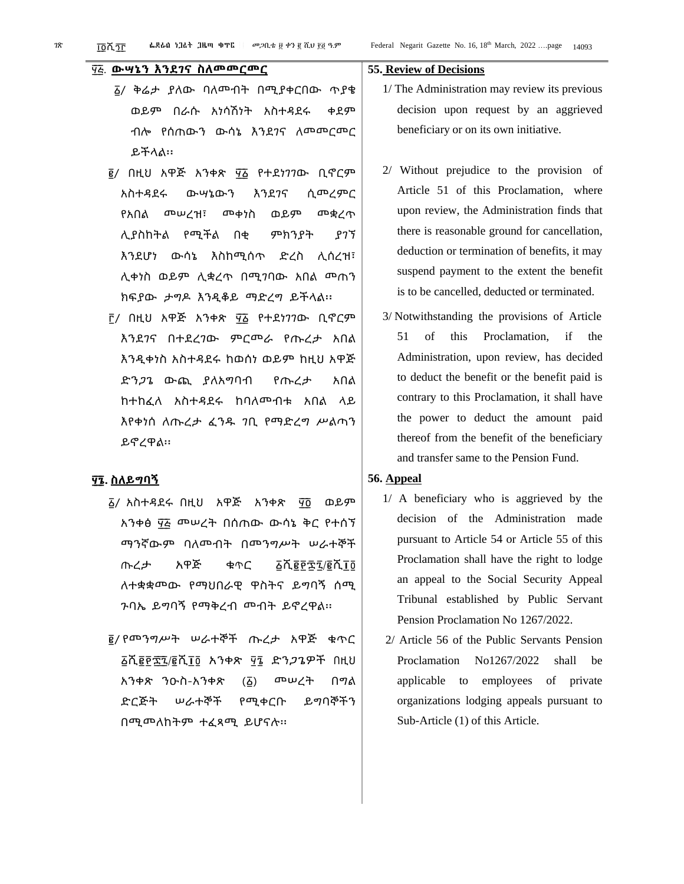#### ፶ ፭. **ውሣኔን እንደገና ስለመመርመር**

- ፩/ ቅሬታ ያለው ባለመብት በሚያቀርበው ጥያቄ ወይም በራሱ አነሳሽነት አስተዳደሩ ቀደም ብሎ የሰጠውን ውሳኔ እንደገና ለመመርመር ይችላል፡፡
- <sub>፪</sub>/ በዚህ አዋጅ አንቀጽ ፶፩ የተደነ*ገገ*ው ቢኖርም አስተዳደሩ ውሣኔውን እንደገና ሲመረምር የአበል መሠረዝ፣ መቀነስ ወይም መቋረጥ ሊያስከትል የሚችል በቂ ምክንያት ያገኘ እንደሆነ ውሳኔ እስከሚሰጥ ድረስ ሊሰረዝ፣ ሊቀነስ ወይም ሊቋረጥ በሚገባው አበል መጠን ክፍያው ታግዶ እንዲቆይ ማድረግ ይችላል፡፡
- ቮ/ በዚህ አዋጅ አንቀጽ ፶፩ የተደነገገው ቢኖርም እንደገና በተደረገው ምርመራ የጡረታ አበል እንዲቀነስ አስተዳደሩ ከወሰነ ወይም ከዚህ አዋጅ ድንጋጌ ውጪ ያለአግባብ የጡረታ አበል ከተከፈለ አስተዳደሩ ከባለመብቱ አበል ላይ እየቀነሰ ለጡረታ ፈንዱ ገቢ የማድረግ ሥልጣን ይኖረዋል፡፡

#### **፶ ፮. ስለይግባኝ**

- ፩/ አስተዳደሩ በዚህ አዋጅ አንቀጽ ፶ ፬ ወይም አንቀፅ ፶፭ መሠረት በሰጠው ውሳኔ ቅር የተሰኘ ማንኛውም ባለመብት በመንግሥት ሠራተኞች ጡረታ አዋጅ ቁጥር ፩ሺ፪፻፷፯/፪ሺ፲፬ ለተቋቋመው የማህበራዊ ዋስትና ይግባኝ ሰሚ ጉባኤ ይግባኝ የማቅረብ መብት ይኖረዋል፡፡
- ፪/ የመንግሥት ሠራተኞች ጡረታ አዋጅ ቁጥር ፩ሺ፪፻፷ ፯/፪ሺ፲፬ አንቀጽ ፶፮ ድንጋጌዎች በዚህ አንቀጽ ንዑስ-አንቀጽ (፩) መሠረት በግል ድርጅት ሠራተኞች የሚቀርቡ ይግባኞችን በሚመለከትም ተፈጻሚ ይሆናሉ፡፡

#### **55. Review of Decisions**

- 1/ The Administration may review its previous decision upon request by an aggrieved beneficiary or on its own initiative.
- 2/ Without prejudice to the provision of Article 51 of this Proclamation, where upon review, the Administration finds that there is reasonable ground for cancellation, deduction or termination of benefits, it may suspend payment to the extent the benefit is to be cancelled, deducted or terminated.
- 3/ Notwithstanding the provisions of Article 51 of this Proclamation, if the Administration, upon review, has decided to deduct the benefit or the benefit paid is contrary to this Proclamation, it shall have the power to deduct the amount paid thereof from the benefit of the beneficiary and transfer same to the Pension Fund.

#### **56. Appeal**

- 1/ A beneficiary who is aggrieved by the decision of the Administration made pursuant to Article 54 or Article 55 of this Proclamation shall have the right to lodge an appeal to the Social Security Appeal Tribunal established by Public Servant Pension Proclamation No 1267/2022.
- 2/ Article 56 of the Public Servants Pension Proclamation No1267/2022 shall be applicable to employees of private organizations lodging appeals pursuant to Sub-Article (1) of this Article.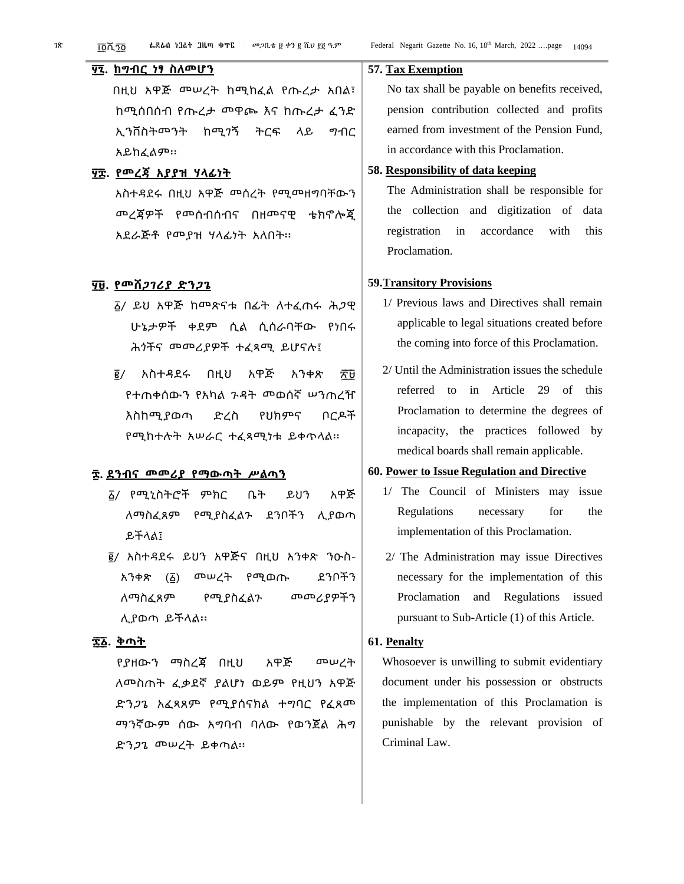#### **፶ ፯. ከግብር ነፃ ስለመሆን**

በዚህ አዋጅ መሠረት ከሚከፈል የጡረታ አበል፣ ከሚሰበሰብ የጡረታ መዋጮ እና ከጡረታ ፈንድ ኢንቨስትመንት ከሚገኝ ትርፍ ላይ ግብር አይከፈልም፡፡

#### **፶ ፰. የመረጃ አያያዝ ሃላፊነት**

አስተዳደሩ በዚህ አዋጅ መሰረት የሚመዘግባቸውን መረጃዎች የመሰብሰብና በዘመናዊ ቴክኖሎጂ አደራጅቶ የመያዝ ሃላፊነት አለበት፡፡

#### **፶ ፱. የመሸጋገሪያ ድንጋጌ**

- ፩/ ይህ አዋጅ ከመጽናቱ በፊት ለተፈጠሩ ሕጋዊ ሁኔታዎች ቀደም ሲል ሲሰራባቸው የነበሩ ሕጎችና መመሪያዎች ተፈጻሚ ይሆናሉ፤
- <sub>፪</sub>/ አስተዳደሩ በዚህ አዋጅ አንቀጽ ፳፱ የተጠቀሰውን የአካል ጉዳት መወሰኛ ሠንጠረዥ እስከሚያወጣ ድረስ የህክምና ቦርዶች የሚከተሉት አሠራር ተፈጻሚነቱ ይቀጥላል፡፡

#### **፷. ደንብና መመሪያ የማውጣት ሥልጣን**

- ፩/ የሚኒስትሮች ምክር ቤት ይህን አዋጅ ለማስፈጸም የሚያስፈልጉ ደንቦችን ሊያወጣ ይችላል፤
- ፪/ አስተዳደሩ ይህን አዋጅና በዚህ አንቀጽ ንዑስ-አንቀጽ (፩) መሠረት የሚወጡ ደንቦችን ለማስፈጸም የሚያስፈልጉ መመሪያዎችን ሊያወጣ ይችላል፡፡

#### **፷ ፩. ቅጣት**

የያዘውን ማስረጃ በዚህ አዋጅ መሠረት ለመስጠት ፈቃደኛ ያልሆነ ወይም የዚህን አዋጅ ድንጋጌ አፈጻጸም የሚያሰናክል ተግባር የፈጸመ ማንኛውም ሰው አግባብ ባለው የወንጀል ሕግ ድንጋጌ መሠረት ይቀጣል፡፡

#### **57. Tax Exemption**

No tax shall be payable on benefits received, pension contribution collected and profits earned from investment of the Pension Fund, in accordance with this Proclamation.

#### **58. Responsibility of data keeping**

The Administration shall be responsible for the collection and digitization of data registration in accordance with this Proclamation.

#### **59.Transitory Provisions**

- 1/ Previous laws and Directives shall remain applicable to legal situations created before the coming into force of this Proclamation.
- 2/ Until the Administration issues the schedule referred to in Article 29 of this Proclamation to determine the degrees of incapacity, the practices followed by medical boards shall remain applicable.

#### **60. Power to Issue Regulation and Directive**

- 1/ The Council of Ministers may issue Regulations necessary for the implementation of this Proclamation.
- 2/ The Administration may issue Directives necessary for the implementation of this Proclamation and Regulations issued pursuant to Sub-Article (1) of this Article.

#### **61. Penalty**

Whosoever is unwilling to submit evidentiary document under his possession or obstructs the implementation of this Proclamation is punishable by the relevant provision of Criminal Law.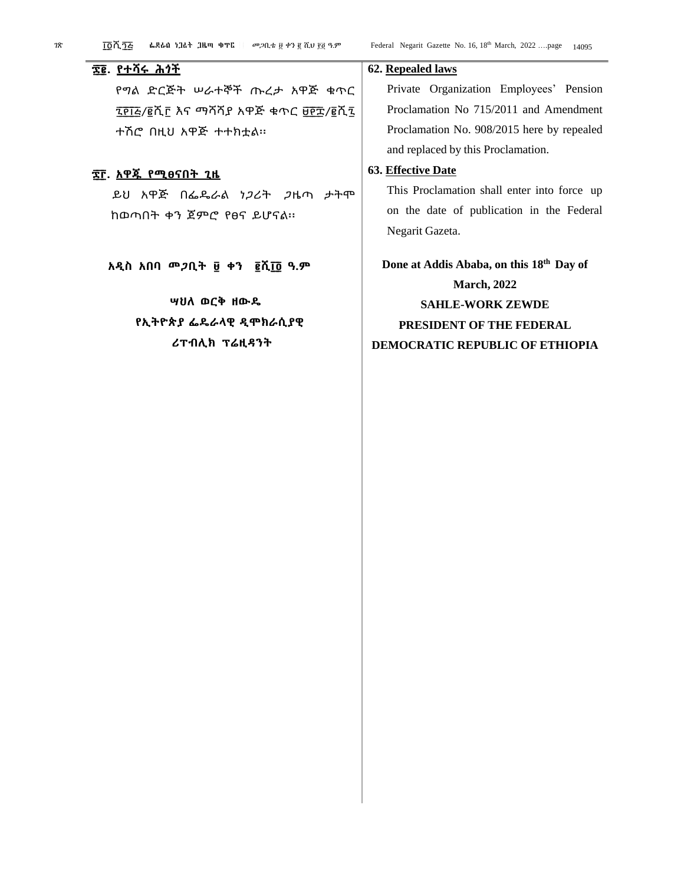የግል ድርጅት ሠራተኞች ጡረታ አዋጅ ቁጥር ፯፻፲፭/፪ሺ፫ እና ማሻሻያ አዋጅ ቁጥር ፱፻፰/፪ሺ፯ ተሽሮ በዚህ አዋጅ ተተክቷል፡፡

#### **፷ ፫. አዋጁ የሚፀናበት ጊዜ**

**፷ ፪. የተሻሩ ሕጎች**

ይህ አዋጅ በፌዴራል ነጋሪት ጋዜጣ ታትሞ ከወጣበት ቀን ጀምሮ የፀና ይሆናል፡፡

**አዲስ አበባ መጋቢት ፱ ቀን ፪ሺ፲ ፬ ዓ.ም**

### **ሣህለ ወርቅ ዘውዴ የኢትዮጵያ ፌዴራላዊ ዲሞክራሲያዊ ሪፐብሊክ ፕሬዚዳንት**

#### **62. Repealed laws**

Private Organization Employees' Pension Proclamation No 715/2011 and Amendment Proclamation No. 908/2015 here by repealed and replaced by this Proclamation.

#### **63. Effective Date**

This Proclamation shall enter into force up on the date of publication in the Federal Negarit Gazeta.

**Done at Addis Ababa, on this 18th Day of March, 2022 SAHLE-WORK ZEWDE PRESIDENT OF THE FEDERAL DEMOCRATIC REPUBLIC OF ETHIOPIA**